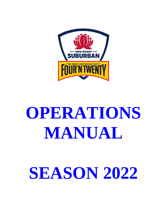

# **OPERATIONS MANUAL**

# **SEASON 2022**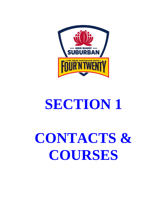

# **SECTION 1**

# **CONTACTS & COURSES**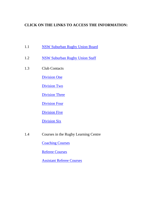# **CLICK ON THE LINKS TO ACCESS THE INFORMATION:**

- 1.1 [NSW Suburban Rugby Union Board](http://www.rugby.net.au/page/Office-Bearers-x-648-132-591.html)
- 1.2 [NSW Suburban Rugby Union Staff](http://www.rugby.net.au/page/Staff-Contacts-x-647-132-590.html)
- 1.3 Club Contacts

[Division](http://www.rugby.net.au/page/Division-One-x-691-132-586.html) One

[Division Two](http://www.rugby.net.au/page/Division-Two-x-694-132-587.html)

[Division Three](http://www.rugby.net.au/page/Division-Three-x-695-132-596.html)

[Division](http://www.rugby.net.au/page/Division-Four-x-6654-132-14495.html) Four

**[Division Five](http://www.rugby.net.au/extra.asp?ID=706)** 

[Division](http://www.rugby.net.au/page/Division-Six-x-707-132-598.html) Six

1.4 [Courses in the Rugby Learning Centre](http://www.aru.com.au/coaching/RugbyLearningCentre.aspx)

**[Coaching Courses](https://australia.rugby/participate/coach)** 

[Referee Courses](https://australia.rugby/participate/referee)

[Assistant Referee Courses](https://australia.rugby/participate/referee)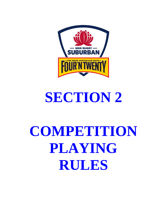

# **SECTION 2**

# **COMPETITION PLAYING RULES**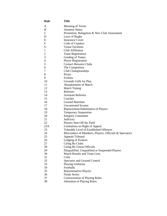| <b>Rule</b>    | <b>Title</b>                                           |
|----------------|--------------------------------------------------------|
| A              | Meaning of Terms                                       |
| B              | <b>Amateur Status</b>                                  |
| $\mathcal{C}$  | Promotion, Relegation & New Club Assessment            |
| D              | Laws of Rugby                                          |
| E              | <b>Insurance Cover</b>                                 |
| ${\bf F}$      | Code of Conduct                                        |
| G              | <b>Venue Facilities</b>                                |
| $\mathbf{1}$   | Club Affiliation                                       |
| $\overline{2}$ | <b>Team Registration</b>                               |
| 3              | <b>Grading of Teams</b>                                |
| $\overline{4}$ | <b>Player Registration</b>                             |
| 5              | <b>Contact Between Clubs</b>                           |
| 6              | The Competition                                        |
| 7              | Club Championships                                     |
| 8              | Prizes                                                 |
| 9              | Forfeits                                               |
| 10             | Grounds Unfit for Play                                 |
| 11             | Abandonment of Match                                   |
| 12             | <b>Match Timing</b>                                    |
| 13             | Referees                                               |
| 14             | <b>Assistant Referees</b>                              |
| 15             | Coaches                                                |
| 16             | <b>Ground Marshals</b>                                 |
| 17             | <b>Uncontested Scrums</b>                              |
| 18             | Replacement/Substitution of Players                    |
| 19             | <b>Temporary Suspension</b>                            |
| 20             | <b>Integrity Committee</b>                             |
| 21             | Judiciary                                              |
| 22             | Players Sent Off the Field                             |
| 22A            | Limitations on Right of Appeal                         |
| 23             | <b>Tolerable Level of Established Offences</b>         |
| 24             | Misconduct of Members, Players, Officials & Spectators |
| 25             | Appeals Tribunal                                       |
| 26             | <b>Lodging of Protests</b>                             |
| 27             | Citing By Clubs                                        |
| 28             | Citing By Union Officials                              |
| 29             | Disqualified, Unqualified or Suspended Players         |
| 30             | <b>Match Results and Team Lists</b>                    |
| 31             | Colts                                                  |
| 32             | <b>Spectator and Ground Control</b>                    |
| 33             | <b>Playing Uniforms</b>                                |
| 34             | Footballs                                              |
| 35             | Representative Players                                 |
| 36             | <b>Finals Series</b>                                   |
| 37             | <b>Contravention of Playing Rules</b>                  |
| 38             | <b>Alteration of Playing Rules</b>                     |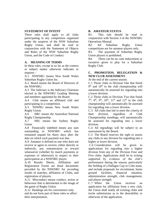### **STATEMENT OF INTENT**

These rules shall apply to all clubs participating in any competition organised under the auspices of the NSW Suburban Rugby Union, and shall be read in conjunction with the Statement of Objects and Rules of the NSW Suburban Rugby Union, and the Code of Conduct.

# **A. MEANING OF TERMS**

In these rules, except in so far as the context or subject matter otherwise indicates or requires -

A.1 NSWSRU means New South Wales Suburban Rugby Union Inc.

A.2 Board means the Board of Directors of the NSWSRU.

A.3 The Judiciary is the Judiciary Chairman elected at the NSWSRU Grading Meeting and members appointed by the Board.

A.4 Club means an affiliated club and participating in a competition.

A.5 NSWRU means New South Wales Rugby Union.

A.6 NRC means the Australian National Rugby Championship

A.7 SRU means the Sydney Rugby Union

A.8 Financially indebted means any sum outstanding to NSWSRU which has remained unpaid for thirty days after the date on which such payment was due.

A.9 Amateur is defined as one who does not receive or agree to receive, either directly or indirectly, any remuneration or reward whatsoever (whether by match payments or expenses or otherwise) in respect to their participation as a NSWSRU player.

A.10 Results Sheets, Affiliation and Registration Forms are those documents provided by the NSWSRU for recording results of matches, affiliation of Clubs, and registration of players.

A.11 Misconduct means conduct, action or behaviour that is detrimental to the image of the game of Rugby Union.

A.12 Headings are for convenience only and do not form part of these rules or affect their interpretation.

### **B. AMATEUR STATUS**

B1. This rule should be read in conjunction with Section 3 of the NSWSRU Operations Manual.

B2. All Suburban Rugby Union competitions are for amateur players only.

B3. The payment of Suburban Rugby Union players is prohibited.

B4. There can be no cash inducement or incentive given to play for a Suburban Rugby Club.

# **C. PROMOTION, RELEGATION & NEW CLUB ASSESSMENT**

At the end of the current season:

C.1 Those clubs in Division One that finish 9<sup>th</sup> and 10<sup>th</sup> in the club championship will automatically be assessed for regrading into a lower division.

C.2 Those clubs in Division Two that finish  $7<sup>th</sup>$ ,  $8<sup>th</sup>$ ,  $9<sup>th</sup>$ ,  $10<sup>th</sup>$ ,  $11<sup>th</sup>$  and  $12<sup>th</sup>$  in the club championship will automatically be assessed for regrading into a lower division.

C.3 All clubs that fail to meet the criteria of their division, regardless of Club Championship standings, will automatically be assessed for regrading into a lower division.

C.4 All regradings will be subject to an assessment by the Board.

C.5 The Board reserves the right to assess any clubs in any division for regrading into a higher or lower division.

C.6 Consideration will be given to applications for regrading into a higher division from any of the Division Four and Five clubs. Applications shall be in writing supported by evidence of the club's performance during the season, particularly the fielding of a Halligan Cup or Colts team, and include proposals for recruitment, home ground facilities, financial situation, administration strength, club management, and player strength.

C.7 When the Union receives an application for affiliation from a new club, the Union shall notify all existing clubs and invite submissions as to the desirability or otherwise of the application.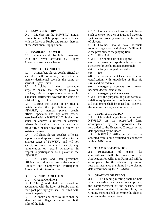# **D. LAWS OF RUGBY**

D.1 Matches in the NSWSRU annual competitions shall be played in accordance with the Laws of Rugby and rulings thereon of the Australian Rugby Union.

# **E. INSURANCE COVER**

E.1 Clubs should be fully conversant with the cover afforded by Rugby Australia's insurance scheme.

# **F. CODE OF CONDUCT**

F.1 A member, player, coach, official or spectator shall not at any time act in a manner detrimental towards the game or spirit of Rugby Union.

F.2 All clubs shall take all reasonable steps to ensure that members, players, coaches, officials or spectators do not act in a manner detrimental towards the game or spirit of Rugby Union.

F.3 During the course of or after a match under the jurisdiction of the NSWSRU, a member, player, coach, official, spectator and any other person associated with a NSWSRU Club shall not abuse or address a referee or assistant referee in insulting terms or act in a provocative manner towards a referee or assistant referee.

F.4 All clubs, players, coaches, officials, supporters and sponsors will adhere to the amateur status of NSWSRU, and will not accept, or entice others to accept, any remuneration or reward whatsoever in respect to participation as a player in the NSWSRU.

F.5 All clubs and their prescribed officials must sign and return the Code of Conduct and Competition Participation Agreement prior to round one.

# **G. VENUE FACILITIES**

# G.1 Ground Conditions

G.1.1 The ground shall be dressed in accordance with the Laws of Rugby and all four goal post uprights shall be fitted with protective pads.

G.1.2 22 metre and halfway lines shall be identified with flags or markers on both sides of the field.

G.1.3 Home clubs shall ensure that objects such as cricket pitches or inground watering systems are properly covered for the safety of players.

G.1.4 Grounds should have adequate toilet, change room and shower facilities in close proximity to the playing field.

G.2 First Aid

G.2.1 The home club shall supply:

(a) a stretcher (preferably a scoop stretcher) for use by trained personnel;

(b) a fully equipped first aid kit;

(c) ice;

(d) a person with at least basic first aid certification, with knowledge of first aid skills and procedures.

(e) emergency contacts for nearest hospital, doctor, dentist, etc.

(f) emergency vehicle access

G.2.2 For the purposes of player safety all sideline equipment such as buckets or first aid equipment shall be placed no closer to the sideline than adjacent to the ropes.

# **1. CLUB AFFILIATION**

1.1 Clubs shall apply for affiliation with NSWSRU on the prescribed form, accompanied by the appropriate fee, forwarded to the Executive Director by the date specified by the Board.

1.2 NSWSRU affiliation will not be accepted from a club affiliated or connected with an NRC team.

# **2. TEAM REGISTRATION**

2.1 Registration of teams for competitions shall be made on the Application for Affiliation Form and will be accompanied by the relevant registration fees and insurance premiums by the closing date determined by the NSWSRU.

# **3. GRADING OF TEAMS**

3.1 The Grading meeting shall be held after the closing date for entries and prior to the commencement of the season. From nominations received from the clubs, the Grading meeting shall determine the clubs to compete in the competitions.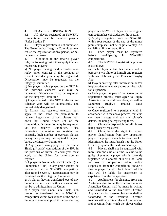# **4. PLAYER REGISTRATION**

4.1 All players registered in NSWSRU competitions must be amateur players. (Refer Section 3)

4.2 Player registration is not automatic. The Board and/or Integrity Committee may refuse the registration of any person, or deregister any person.

4.3 In addition to the amateur player rule, the following restrictions apply to clubs registering players:

a) No player having held a professional rugby union contract in the previous or current calendar year may be registered. Dispensation may be requested via the Integrity Committee.

b) No player having played in the NRC in the previous calendar year may be registered. Dispensation may be requested via the Integrity Committee.

c) Players named in the NRC in the current calendar year will be automatically and immediately deregistered.

d) Players last registered overseas must apply to the Union for permission to register. Registration of such players must occur by Round Seven (7) of the competition. Dispensation may be requested via the Integrity Committee. Clubs requesting permission to register an unusually high number of overseas players in any one year may be required to appear before the Integrity Committee.

e) Any player having played in the Shute Shield  $(1<sup>st</sup> grade)$  competition of the SRU in the previous or current calendar year must apply to the Union for permission to register.

f) A player registered with an SRU Club (i.e. Premiership Club) in any grade cannot be transferred into a NSWSRU competition after Round Seven (7). Dispensation may be requested via the Integrity Committee.

g) A player, having transferred out of any Suburban Club twice within a season, will not be re-admitted into the Union.

h) A player from a non-Shute Shield Club cannot be transferred into a NSWSRU competition within four rounds of the end of the minor premiership, or if the transferring

player is a NSWSRU player whose original competition has concluded for the season.

i) A player registered with the NSWSRU within four rounds of the end of the minor premiership shall not be eligible to play in a semi-final, final or grand final.

4.4 Each player must be registered before participating in NSWSRU competitions.

4.5 The NSWSRU registration process is as follows:

a) Each player enters his details and a passport style photo of himself and registers with his club using the Fusesport Rugby App.

b) Players entering false information and/or inappropriate or unclear photos will be liable for suspension.

c) Each player, as part of the above online registration process, must agree to Rugby Australia's terms and conditions, as well as Suburban Rugby's amateur status requirements.

c) Once registered to a particular club in accordance with the above process, that club can then manage and edit any player's details, including de-registering them.

4.6 Clubs are responsible for all players being properly registered.

4.7 Clubs have the right to request player identification from any opposition player. If a player is unable to show proof of identification he must furnish it to the Union Office by 5pm on the next business day.

4.8 Players shall not be registered with more than one club at a time. A club found guilty of playing a player who is currently registered with another club will be liable for loss of competition points, and/or suspension from the competition, and/or a fine. A player found to be in breach of this rule will be liable for suspension or expulsion from the competition.

4.9 Applications for clearance from one Australian club to another, or from another Australian Union, shall be made in writing and forwarded to the Executive Director. Applications for overseas clearances shall be forwarded to the Executive Director, together with a written release from the club and/or Union from which the player wishes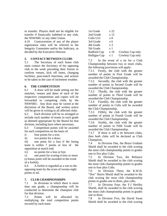to transfer. Players shall not be eligible for transfer if financially indebted to any club, the NSWSRU or any other Union.

4.10 Contravention of any of the player registration rules will be referred to the Integrity Committee and/or the Judiciary, as decided by the Executive Director.

# **5. CONTACT BETWEEN CLUBS**

5.1 The Secretary of each home club must contact the Secretary of his opposing club in the week preceding their fixture to confirm venues, kick off times, changing facilities, post-match functions, and actions to be taken in the case of inclement weather.

# **6. THE COMPETITION**

6.1 A draw will be made setting out the matches, venues and dates of each of the respective competitions and copies will be forwarded to competing clubs by the NSWSRU. Any draw may be varied at the discretion of the Board, and written notice will be given in writing to all affected clubs.

6.2 Each division will be so arranged to include such number of teams in each grade as deemed appropriate by the Board for that division, including byes where necessary.

6.3 Competition points will be awarded for each competition on the basis of:

i) four points for a win;

ii) two points for a draw;

iii) one point for a loss if the losing team is within 7 points or less of the opposition at match end;

iv) no points for a loss or bye.

v) one point for scoring 4 tries or more (a bonus point will be awarded in the event of a forfeit).

6.4 A forfeit is regarded as a win to the opposing team by the score of twenty-eight points to nil.

# **7. CLUB CHAMPIONSHIPS**

7.1 In divisions in which there is more than one grade, a championship will be conducted to determine the champion club for that division.

7.2 Points will be allocated by multiplying the total competition points secured by each team:

| 1st Grade    | x 22           |                 |
|--------------|----------------|-----------------|
| 2nd Grade    | x 12           |                 |
| Colts U21    | x 8            |                 |
| 3rd Grade    | $x_{6}$        |                 |
| 4th Grade    | x <sub>3</sub> |                 |
| 5th Grade    | $\mathbf{x}$ 1 |                 |
| Radford Cup  | x 16           | Cowboy Cup only |
| Halligan Cup | x 1            | Cowboy Cup only |

7.3 In the event of a tie for a Club Championship between two or more clubs, the following provisions will apply:

7.3.1 Firstly, the club with the greater number of points in First Grade will be awarded the Club Championship.

7.3.2 Secondly, the club with the greater number of points in Second Grade will be awarded the Club Championship.

7.3.3 Thirdly, the club with the greater number of points in Third Grade will be awarded the Club Championship.

7.3.4 Fourthly, the club with the greater number of points in Colts will be awarded the Club Championship.

7.3.5 Fifthly, the club with the greater number of points in Fourth Grade will be awarded the Club Championship.

7.3.6 Sixthly, the club with the greater number of points in Fifth Grade will be awarded the Club Championship.

7.3.7 If there is still a tie between clubs, then both clubs will be declared as Club Champions.

7.4 In Division One, the Bruce Graham Shield shall be awarded to the club scoring the most club championship points in grades one to five plus Colts.

7.5 In Division Two, the Reliance Shield shall be awarded to the club scoring the most club championship points in grades one to four plus Colts.

7.6 In Division Three, the K.W.H. "Doc" Harris Shield shall be awarded to the club scoring the most club championship points in grades one to three, plus colts.

7.7 In Division Four, the F.J Herlihy Shield, shall be awarded to the club scoring the most club championship points in grades one to three.

7.8 In Division Five, the David Swan Shield shall be awarded to the club scoring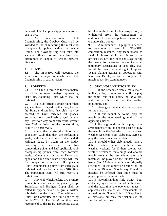the most club championship points in grades one to two.

7.9 An inter-divisional Club Championship, the Cowboy Cup, shall be awarded to the club scoring the most club championship points within the whole Union. The Cowboy Cup will take into account finals series matches and differences in length of season between divisions.

# **8. PRIZES**

8.1 The NSWSRU will recognise the winners of the major premiership and Club Championship in each division.

# **9. FORFEITS**

9.1 If a Club is forced to forfeit a match, it shall be the lowest grade(s) representing that Club, excluding Colts, which shall be forfeited.

9.2 If a club forfeits a grade higher than a grade already played on that day, then at the Board's discretion, that club may be deemed to have forfeited all grades, excluding colts, previously played on that day. However, any point differential greater than 28-0 in favour of the non-forfeiting club will be preserved.

9.3 Clubs that advise the Union and opposition Club that they are forfeiting a grade, with the exception of Sutherland & Halligan Cups, by 10am on the Friday preceding the match will lose two competition points and half applicable club championship points from each forfeited grade. Clubs that advise the Union and opposition Club after 10am Friday will lose four competition points and full applicable Club Championship points from each grade forfeited, and may be liable for a \$100 fine. The opposition team will still receive a forfeit result.

9.4 Any club which forfeits two or more competition matches in a grade (except Sutherland and Halligan Cups) shall be called to appear before, or give a written submission to the Clubs, Competition and Rules Sub-Committee at a time notified by the NSWSRU. The Sub-Committee may recommend to the Board appropriate action be taken in the form of a fine, suspension, or withdrawal from the competition, or additional loss of competition and/or club championship points.

9.5 A minimum of 11 players is needed to constitute a team for NSWSRU competition matches. Any team unable to field 11 players within ten minutes of the official kick-off time, or at any stage during the match, for whatever reason, including temporary suspensions or send-offs, shall forfeit the match without right of appeal. Teams playing against an opposition with less than 15 players are not required to match opposition team numbers.

# **10. GROUNDS UNFIT FOR PLAY**

10.1 If the scheduled venue for a match is likely to be, or found to be, unfit for play the home team shall notify the NSWSRU and the visiting club at the earliest opportunity and;

10.1.1 Arrange a suitable alternative venue for the match; or

10.1.2 If one cannot be found, play the match at the nominated ground of the opposing club; or

10.1.3 If that ground is unfit for play, make arrangements with the opposing club to play the match on the Saturday of the next wet weather weekend. Both clubs may agree to play the match on an earlier date.

10.1.4 Should either club already have a deferred match scheduled for the next wet weather weekend (or if there are no wet weather weekends remaining) and another match needs to be rescheduled then this match will be played on the Sunday a week hence (i.e. 15 days after it was originally scheduled) unless otherwise decided by the Executive Director. Should any Round 14 matches be deferred then these must be played prior to the semi finals.

10.1.5 Notwithstanding Rule 10.1.4, both clubs may agree not to reschedule the match and the next time the two clubs meet (if applicable) the match will earn double the normal points. Note – Rule 10.1.5 applies to all divisions, but only for washouts in the first half of the draw.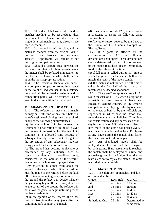10.1.6 Should a club have a full round of matches needing to be rescheduled then those matches will take precedence over a single deferred match that may already have been rescheduled.

10.2 If a ground is unfit for play, and the match is changed from the original venue, the next match between the two clubs affected (if applicable) will remain as per the original competition draw.

10.3 Should a dispute arise between the two clubs in relation to these arrangements, the matter shall be referred immediately to the Executive Director who shall decide upon the most appropriate action.

10.4 The Executive Director can cancel any complete competition round in advance in the event of bad weather. In this instance the round will be declared a wash-out and no competition points will be awarded to any team in that competition for that round.

# **11. ABANDONMENT OF MATCH**

11.1 The referee may not start a match, or may call full-time at any time before a game's designated playing time has expired, in any of the following circumstances:

(a) In the opinion of the referee, the treatment of or attention to an injured player may make it impossible for the match to continue to its allocated time because of subsequent safety reasons, lack of light, or the prevention of any subsequent matches being played for their allocated time.

(b) The ground has become unplayable as determined by any authority, such as council, or due to its condition being considered, in the opinion of the referee, dangerous in the interests of player safety.

(Any objection by either team about the ground or the way in which it is marked out must be made to the referee before the kick off. If teams cannot agree as to the safety of the ground the referee will decide whether the game may begin. If there is any doubt as to the safety of the ground the referee will not allow the game to begin until the ground has been made safe.)

(c) In the opinion of the referee, there has been a disruption that may jeopardise the continuing safe conduct of a match.

(d) Consideration of rule 12.3, where a game is shortened to ensure the following game starts on time.

(e) Any other reason covered by the Laws of the Game or the Union's Competition Playing Rules.

11.2 If a game is affected by the circumstances in 11.1, the following designations shall apply. These designations can be determined by the Union subsequent to the match regardless of any terminology used by the referee at the time.

(a) If full-time is called during half-time or when the game is in the second half of the match, the result of the match stands.

(b) If a match is not started, or full-time is called in the first half of the match, the match shall be deemed abandoned.

11.3 There are 2 exceptions to rule 11.2: (a) In the case of  $11.1(c)$ , when disruption to a match has been deemed to have been caused by actions contrary to the Union's Competition and Playing Rules by one team or the other, or both, or by their officials and supporters, in which case the Union shall refer the matter to its Judiciary Committee for consideration and any necessary action.

(b) In the case of 9.5, where regardless of how much of the game has been played, a team who is unable field at least 11 players at any stage during the match shall forfeit the match without right of appeal.

11.4 An abandoned match shall be replayed at a future time and place as agreed by both teams. If no agreement is reached, the match shall be replayed at a time and place designated by the Union. Should either team elect not to replay the match, the other team shall win on forfeit.

# **12. MATCH TIMING**

12.1 The duration of matches and kickoff times shall be:

| Grade          | Each Half | Kick Off           |
|----------------|-----------|--------------------|
| 1st            | 40 mins   | $3:15$ pm          |
| 2nd            | 35 mins   | 2:00 <sub>pm</sub> |
| Colts          | 35 mins   | 12:45pm            |
| 3rds           | 30 mins   | 11:40am            |
| 4ths           | 25 mins   | $10.45$ am         |
| Sutherland Cup | 25 mins   | Determined by      |
|                |           | home team          |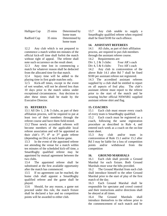| Halligan Cup | 25 mins | Determined by |
|--------------|---------|---------------|
|              |         | home team     |
| Radford Cup  | 35 mins | Determined by |
|              |         | home team     |

12.2 Any club which is not prepared to commence a match within ten minutes of the official kick-off time shall forfeit the match without right of appeal. The referee shall note such occurrence on the result sheet.

12.3 Any time lost in commencing a match for whatever reason shall be deducted from the allocated time for that match.

12.4 Injury time will be added to the playing time in first grade matches only.

12.5 Kick-off times, except in the event of wet weather, will not be altered less than 10 days prior to the match unless under exceptional circumstances. Any decision to alter these times shall be made by the Executive Director.

# **13. REFEREES**

13.1 All Div 1, 2 & 3 clubs, as part of their affiliation process, will be required to put at least two of their members through the referee course and have them field-tested.

13.2 Those newly accredited referees will become members of the applicable local referee association and will be appointed as their club's  $5<sup>th</sup>$ ,  $4<sup>th</sup>$  or  $3<sup>rd</sup>$  grade referee (depending on Div) at each home game.

13.3 In the event of the appointed referee not attending the venue for a match within ten minutes of the scheduled kick-off time, a SmartRugby qualified referee may be appointed by mutual agreement between the two clubs.

13.4 The appointed referee shall be substituted at the first available opportunity after the match has commenced.

13.5 If no agreement can be reached, the home club shall appoint a SmartRugby qualified referee and the game shall be played.

13.6 Should, for any reason, a game not proceed under this rule, the match fixture shall be declared a bye and no competition points will be awarded to either club.

13.7 Any club unable to supply a SmartRugby qualified referee when required shall be fined \$100 for each offence.

# **14. ASSISTANT REFEREES**

14.1 All clubs, as part of their affiliation process, are required to put club members through the assistant referee course.

14.2 Requirements are:

Div 1, 2  $\&$  3 clubs: Four AR's each

Div 4, 5  $\&$  6 clubs: Two AR's each

14.2 Any club in contravention of the above Rule 14.1 after Rd 7 shall be fined \$100 per assistant referee not registered.

14.3 The accredited assistant referees supplied by a club shall be entitled to report on all aspects of foul play. The club's assistant referee must report to the referee prior to the start of the match and be wearing his/her official NSWSRU supplied assistant referee shirt and flag.

# **15. COACHES**

15.1 Each club must ensure every coach of every team is SmartRugby qualified.

15.2 Each coach must be registered as a coach, following the same registration procedure as described in Rule 4, and entered each week as a coach on the on-line team sheet.

15.3 Any club and/or team in contravention of Rule 15.1 and/or 15.2 after Rd 3 may be liable for a loss of competition points and/or withdrawal from the competition

# **16. GROUND MARSHALS**

16.1 Each club shall provide a Ground Marshal for each fixture. Both Ground Marshals must wear the bibs provided.

16.2 The Ground Marshal from each club shall introduce himself to the other Ground Marshal prior to the start of play of the first match of the day.

16.3 Each Ground Marshal shall be responsible for spectator and crowd control and their instructions and/or directions shall be obeyed at all times.

16.4 The Ground Marshals shall introduce themselves to the referee prior to the commencement of each match and be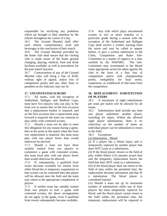responsible for rectifying any problems which are brought to their attention by the referee throughout the course of a day.

16.5 The Ground Marshal shall offer each referee complimentary food and beverages at the conclusion of their match.

16.6 The Ground Marshal provided by the home club shall ensure that the visiting club is made aware of the home ground changing, playing, medical, food and drink facilities available, as well as procedures for the post match function.

16.7 Contravention of any of the Ground Marshal rules will bring a fine of \$100, without right of appeal, and/or loss of competition points and any other fines or penalties as the Judiciary may see fit.

# **17. UNCONTESTED SCRUMS**

17.1 All teams, with the exception of Sutherland, Halligan and Radford Cups, must have five players who can play in the front row to ensure that on the first occasion that a replacement hooker is required, and on the first occasion that a replacement prop forward is required, the team can continue to play safely with contested scrums.

17.2 Should a team not be able to meet this obligation for any reason during a game, then at the point in the match when the front row replacement is required, this team must play with one player fewer than would otherwise be allowed.

17.3 Should a team not have three suitably trained front row players to commence a game with contested scrums, this team must play with one player fewer than would otherwise be allowed.

17.4 If, subsequently, a qualified front rower becomes available (or returns from either blood-bin or temporary suspension) so that scrums can be contested then that player will be allowed onto the field and the team may return to the appropriate complement of players.

17.5 If neither team has suitably trained front row players to start a game with contested scrums, the above arrangements do not apply to the game, even if qualified front rowers subsequently become available.

17.6 Any club which plays uncontested scrums in two or more matches in a particular grade during a season with the exception of the Sutherland and Halligan Cups shall receive a written warning from the union and may be called to appear before, or give a written submission to the Clubs, Competition and Rules Sub-Committee as a matter of urgency at a time notified by the NSWSRU. The Sub-Committee may recommend to the Board some appropriate action be taken against the club in the form of a fine, loss of competition and/or club championship points, ineligibility for final series, suspension, or withdrawal of that team from the competition.

# **18. REPLACEMENT/ SUBSTITUTION OF PLAYERS**

18.1 A maximum of eight substitutions per team per match will be allowed for all teams.

18.2 Substitutions shall include any time one player substitutes another player, including for injury. Within the allowed eight player substitutions, there is no restriction on the number of times an individual player can be substituted or return to the field.

18.3 Exceptions

(a) Substitution – Blood

(i) If a player has a blood injury and is temporarily replaced by another player that does NOT count as a substitution.

(ii) If the blood player returns to the field of play within fifteen (15) minutes actual time and the temporary replacement leaves the field that does NOT count as a substitution.

(iii) If the blood player does not return to the field of play within the permitted time, the replacement becomes permanent and that IS a substitution. The blood player is considered injured.

(iv) Should a team use up its maximum number of substitutions while one of their players has been temporarily replaced for blood, and the blood player cannot return to the field within the permitted time, the temporary replacement will be required to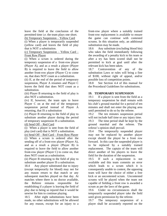leave the field at the conclusion of the permitted time i.e. the team plays one short. (b) Temporary Suspension – Yellow Card

(i) When a player is temporarily suspended (yellow card) and leaves the field of play that is NOT a substitution.

(c) Temporary Suspension – Yellow Card – Front Row Player

(i) When a scrum is ordered during the temporary suspension of a front-row player (Player A), and as a result a player (Player B) is required to leave the field to allow another front-row player (Player C) to come on, that does NOT count as a substitution.

(ii) If, at the end of the period of temporary suspension, Player A resumes and Player C leaves the field that does NOT count as a substitution.

(iii) Player B returning to the field of play is also NOT a substitution.

(iv) If, however, the team opts to leave Player C on at the end of the temporary suspension period instead of Player A returning, that IS a substitution

(v) Player B returning to the field of play to substitute another player during the period of temporary suspension IS a substitution.

(d) Send Off – Red Card

(i) When a player is sent from the field of play (red card) that is NOT a substitution.

(e) Send Off – Red Card – Front Row Player (i) When a scrum is ordered after the sending off of a front-row player (Player A), and as a result a player (Player B) is required to leave the field to allow another front-row player (Player C) to come on, that does NOT count as a substitution.

(ii) Player B returning to the field of play to substitute another player IS a substitution.

18.4 Any player substituted due to injury (except temporarily for blood) may not for any reason return to that match or any subsequent matches played on that day. At matches where there is no doctor available, the Referee remains responsible for establishing if a player is leaving the field of play due to being so injured that it would be unwise for him to continue playing.

18.5 After eight substitutions have been made, no other substitutions will be allowed for any reason, except for an injury to a

front-row player where a suitably trained front-row replacement is available to ensure the game can continue with contested scrums. In this situation only, an additional substitution may be made.

18.6 Any substitute (excluding blood bin) who takes the field immediately following the awarding of a penalty kick to his team or after a try has been scored shall not be permitted to kick at goal until after the relevant kick has been taken.

18.7 Contravention of any of the substitution Laws or rules will bring a fine of \$100, without right of appeal, and/or possible loss of competition points.

18.8 See Section 4.4 of this manual for the Procedural Guidelines for substitutions.

# **19. TEMPORARY SUSPENSION**

19.1 If a player is sent from the field as a temporary suspension he shall remain with his club's ground marshal for a period of ten minutes and shall not enter the playing area until permitted to do so by the referee.

19.2 The ten minutes suspension period will not include half time or any injury time. 19.3 The time period shall be kept by the ground marshal and the referee. The referee's opinion shall prevail.

19.4 The temporarily suspended player may not be replaced by another player except should the player be a front row forward. In this case the suspended player is to be replaced by a suitably trained replacement. The captain of the team will direct another of his players to leave the field for the duration of the suspension.

19.5 If such a replacement is not available and this team commits an error which leads to a scrum which it is consequently unable to contest, the opposing team will have the choice of either a free kick or an uncontested scrum. Uncontested scrums will be played when the team not capable of fielding a front row is awarded a scrum as per the laws of the game.

19.6 Under no circumstances shall the temporarily suspended player take the field until given permission by the referee.

19.7 The temporary suspension of a player shall be accurately reported on the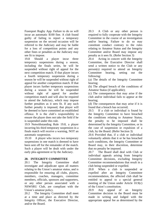Fusesport Rugby App. Failure to do so will incur an automatic \$100 fine. A club found guilty of failing to report a temporary suspension on the second occasion will be referred to the Judiciary and may be liable for a loss of competition points and any other fines or penalties as the Judiciary may see fit to impose.

19.8 Should a player incur three temporary suspensions during a season, including the finals series, he will be suspended without right of appeal for the next competition match. If that player incurs a fourth temporary suspension during a season he will be suspended without right of appeal for another competition match. If that player incurs further temporary suspensions during a season he will be suspended without right of appeal for another competition match and will also be required to attend the Judiciary, which may impose further penalties as it sees fit. If any such further penalty is imposed, that player will be deemed to have committed an established offence. It is the club's responsibility to ensure the player does not take the field if he is suspended under this rule.

19.9 Notwithstanding Rule 19.8, a player incurring his third temporary suspension in a finals match will receive a warning, NOT an automatic suspension.

19.10 A player who incurs two temporary suspensions in one match is deemed to have been sent off for the remainder of the match. Such a player will be dealt with under the early plea agreement or by the Judiciary.

# **20. INTEGRITY COMMITTEE**

20.1 The Integrity Committee shall investigate and adjudicate upon all matters relating to the Union's amateur status, and is responsible for ensuring all clubs, players, members, coaches, managers, committee members, officials, sponsors and supporters, or any other person associated with a NSWSRU Club, are compliant with the Union's amateur policy.

20.2 The Integrity Committee shall meet at a time and place as directed by the Integrity Officer, the Executive Director, and/or the Board.

20.3 A Club or any other person is required to fully cooperate with the Integrity Committee in the course of an investigation and/or hearing. Failure to do so may constitute conduct contrary to the rules relating to Amateur Status and the Integrity Committee and/or Board may impose any penalty as it sees fit. (Refer Section 3)

20.4 Acting in concert with the Integrity Committee, the Executive Director shall send a written notice to the Club or any person(s) required to attend an Integrity Committee hearing, setting out the following:

(a) The details of the Integrity Committee hearing;

(b) The alleged breach of the conditions of Amateur Status (if applicable);

(c) The consequences that may arise if the club and/or individual fails to appear at the hearing;

(d) The consequences that may arise if it is found that a breach has occurred;

20.5 If a club or individual is found by the Integrity Committee to have breached the conditions relating to Amateur Status, the penalty to be imposed shall be determined by the Integrity Committee, or in the case of suspension or expulsion of a club, by the Board. (Refer Section 3)

20.6 Provided that, if a club or individual voluntarily admits that it or he has breached such conditions, the Integrity Committee or Board may, in their discretion, determine that no penalty be imposed.

20.7 The Board shall deal with Club or individual appeals arising from Integrity Committee decisions, excluding Integrity Committee recommendations that result in a club being suspended or expelled.

20.8 When a club is suspended or expelled after an Integrity Committee recommendation, the affected club shall be entitled to appeal to a special general meeting of the Union under Article 10.9(c) of the Union's constitution.

20.9 Any appeal of an Integrity Committee decision to the Board must be made in writing and lodged with the appropriate appeal fee as determined by the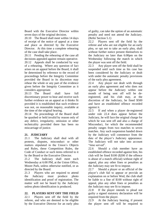Board with the Executive Director within seven days of the original decision.

20.10 The Board shall meet within 14 days of receipt of the notice of appeal at a time and place as directed by the Executive Director. At this time a complete rehearing of the case shall take place.

20.11 Pending the rehearing of the case all decisions appealed against remain operative. 20.12 Appeals shall be conducted by way of a rehearing. Where any question of fact arises on an appeal before the Board, it shall be determined by reference to the record of proceedings before the Integrity Committee provided the Board in its discretion may rehear the whole or any part of the evidence given before the Integrity Committee as it considers appropriate.

20.13 The Board shall have full discretionary power to hear and receive such further evidence on an appeal as it thinks fit provided it is established that such evidence was not, on reasonable inquiry, available at the time of the original hearing.

20.14 No proceedings of the Board shall be quashed or held invalid by reason only of any defect, irregularity, omission or other technicality provided there has been no miscarriage of justice.

# **21. JUDICIARY**

21.1 The Judiciary shall deal with all protests, disputes, misconduct or other matters stipulated in the Union's Objects and Rules, these Competition Rules, the Code of Conduct or such items referred to it by the Board or the Executive Director.

21.2 The Judiciary shall meet each Wednesday at 6:00 PM, at the Union Office, Moore Park, unless otherwise notified, or as directed by the Board.

21.3 Players who are required to attend the Judiciary must produce photo identification and proof of registration. The matter will not be heard by the Judiciary unless photo identification is produced.

# **22. PLAYERS SENT OFF THE FIELD**

22.1 Players sent off the field by the referee, and who are deemed to be eligible by the Executive Director for an early plea of guilty, can take the option of an automatic penalty and need not attend the Judiciary. (Refer Section 5.1)

22.2 Players sent off the field by the referee and who are not eligible for an early plea, or opt not to take an early plea, shall without further notice present themselves to the Judiciary no later than 6:00pm on the Wednesday following the match in which the player was sent off the field.

22.3 Any player sent off the field shall be suspended until such time as his case has been considered by the Judiciary or dealt with under the automatic penalty provisions of the early plea agreement.

22.4 Any player not dealt with through an early plea agreement and who does not appear before the Judiciary within one month of being sent off will be deregistered, and his club may, at the discretion of the Judiciary, be fined \$500 and have an established offence recorded against it.

22.5 If and when a player de-registered under rule 22.4 does appear before the Judiciary, he will face the original charge for which he was sent off and also a charge of Misconduct, for which the recommended penalty ranges from two matches to seven matches. Any such suspension handed down by the Judiciary will commence from the date of the player's Judiciary appearance. The Judiciary will not take into account "time served".

22.6 Should a club member have an established offence recorded against him, his club will be fined \$100 (\$200 if the offence is abuse of a match official) without right of appeal, plus any other fines or penalties as the Judiciary may see fit to impose.

22.7 Should a player or an official of the player's club fail to appear or provide an explanation on or before Wed, the club shall be liable to a fine of \$100 without right of appeal, plus any other fines or penalties as the Judiciary may see fit to impose.

22.8 If the player intends to plead not guilty a signed statutory declaration will be required from the player.

22.9 At the Judiciary hearing, if present the player sent off will be required to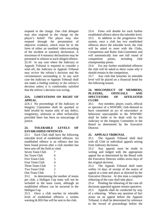respond to the charge. One club delegate may also respond to the charge on the player's behalf. The player may also respond through the presentation of objective evidence, which must be in the form of either an unedited video-recording of the incident or statutory declaration. A maximum of 4 statutory declarations may be presented in relation to each alleged offence. 22.10 In any case where the Judiciary or Appeals Tribunal is required to consider a send off, the Judiciary or Appeals Tribunal may review the referee's decision and the circumstances surrounding it. In any such case the Judiciary or Appeals Tribunal shall not make a finding contrary to the referee's decision unless it is comfortably satisfied that the referee's decision was wrong.

# **22A. LIMITATIONS ON RIGHT OF APPEAL**

22A.1 No proceedings of the Judiciary or Integrity Committee shall be quashed or held invalid by reason only of any defect, irregularity, omission or other technicality provided there has been no miscarriage of justice.

# **23. TOLERABLE LEVELS OF ESTABLISHED OFFENCES**

23.1 Each Club shall have the following tolerable level of established offences. An established offence is an offence that has been found proven after a club member has been sent off the field or cited:

| Seven Team Club |   |
|-----------------|---|
| Six Team Club   | 6 |
| Five Team Club  | 5 |
| Four Team Club  | 4 |
| Three Team Club | 3 |
| Two Team Club   | 2 |
| One Team Club   | 1 |

23.2 In determining the number of teams per club, a Halligan Cup team will not be included in the team count, although an established offence can be incurred in the Halligan Cup.

23.3 Once a club reaches its tolerable level of established offences a written warning & \$50 fine will be sent to the club.

23.4 Fines will double for each further established offence above the tolerable level. 23.5 In addition to the progressive fine system, once a club has two established offences above the tolerable level, the club will be asked to meet with the Clubs, Competition and Rules Sub-Committee and will automatically lose one full round of competition points, including club championship points.

23.6 For any further established offences the club will be asked to show cause why it should remain in the competition.

23.7 Any club that breaches its tolerable level will be placed on a financial bond for the following season.

# **24. MISCONDUCT OF MEMBERS, PLAYERS, OFFICIALS AND SPECTATORS OF AFFILIATED CLUBS**

24.1 Any member, player, coach, official or spectator of a NSWSRU club deemed to have committed an act of misconduct or behaviour unacceptable to the NSWSRU shall be liable to be dealt with by the Judiciary or the Integrity Committee or the Board as determined by the Executive Director.

# **25. APPEALS TRIBUNAL**

25.1 The Appeals Tribunal shall deal with all Club or individual appeals arising from Judiciary decisions.

25.2 Any appeals must be made in writing and lodged with the appropriate appeal fee as determined by the Board with the Executive Director within seven days of the original decision.

25.3 The Appeals Tribunal shall meet within 14 days of receipt of the notice of appeal at a time and place as directed by the Executive Director. At this time a complete rehearing of the case shall take place.

25.4 Pending the rehearing of the case all decisions appealed against remain operative. 25.5 Appeals shall be conducted by way of a rehearing. Where any question of fact arises on an appeal before the Appeals Tribunal, it shall be determined by reference to the record of proceedings before the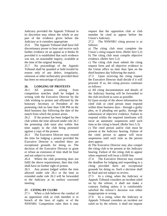Judiciary provided the Appeals Tribunal in its discretion may rehear the whole or any part of the evidence given before the Judiciary as it considers appropriate.

25.6 The Appeals Tribunal shall have full discretionary power to hear and receive such further evidence on an appeal as it thinks fit provided it is established that such evidence was not, on reasonable inquiry, available at the time of the original hearing.

25.7 No proceedings of the Appeals Tribunal shall be quashed or held invalid by reason only of any defect, irregularity, omission or other technicality provided there has been no miscarriage of justice.

# **26. LODGING OF PROTESTS**

26.1 All protests arising from competition matches shall be lodged in writing with the Executive Director by the club wishing to protest and affirmed by the honorary Secretary or President of the protesting club no later than 5:00 PM on the third business day following the date of the match from which the protest arises.

26.2 If the protest has been lodged by the club within the time allowed under rule 26.1 the protesting club must also within that time supply to the club being protested against a copy of the protest.

26.3 The Executive Director may extend the time for lodging a protest provided the Executive Director is satisfied there are exceptional grounds for doing so. The decision of the Executive Director to grant or refuse an extension of time shall be final and not subject to review.

26.4 Where the club protesting does not fulfil the above requirements, then that club shall have no further right of protest.

26.5 Any protest lodged within the time allowed under rule 26.1 or the time as extended under rule 26.3 will be forwarded to the Judiciary at its earliest convened meeting.

# **27. CITING BY CLUBS**

27.1 When a club believes the conduct of an opposition club or club member is in breach of the laws of rugby or of the NSWSRU Competition rules then it may

request that the opposition club or club member be cited to appear before the Union's Judiciary.

27.2 The NSWSRU citing process is as follows:

a) The citing club must complete the Union's citing request form. (Refer Sect 5.2) b) The citing club must compile objective evidence. (Refer Sect 5.2)

c) The citing club must submit the citing request form and all objective evidence to the Union office no later than 5pm on the third business day following the match.

27.3 Upon receiving the citing request the Executive Director shall decide if it will proceed. If so, the citing process continues as follows:

a) All citing documentation and details of the Judiciary hearing will be forwarded to the club involved as soon as possible.

b) Upon receipt of the above information the cited club or cited person must respond within three business days - through a guilty plea, or if pleading not guilty, through the submission of objective evidence. Failure to respond within the required timeframe will incur an automatic suspension until such time as the citing is heard. (Refer Sect 5.3)

c) The cited person and/or club must be present at the Judiciary hearing. Failure of the cited person to appear will incur suspension until such time as the person does appear.

d) The Executive Director may also compel the citing club to be present at the Judiciary hearing. Failure of the citing club to appear when requested will incur a \$100 fine.

27.4 The Executive Director may extend the deadline for lodging and responding to a citing provided there are exceptional grounds for doing so. Such a decision shall be final and not subject to review.

27.5 In a citing, when the Judiciary or Appeals Tribunal considers an incident ruled on by the referee, it shall not make a contrary finding unless it is comfortably satisfied the referee's decision was either inappropriate or wrong.

27.6 In a citing, when the Judiciary or Appeals Tribunal considers an incident not ruled on by the referee, it shall not impose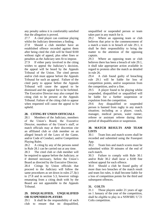any penalty unless it is comfortably satisfied that the allegation is proved.

27.7 A cited player can continue playing whilst the Judiciary determines a finding.

27.8 Should a club member have an established offence recorded against them after being cited the club will be fined \$100 without right of appeal, plus other fines or penalties as the Judiciary sees fit to impose.

27.9 If either party involved in the citing wishes to appeal the Judiciary's decision, the appeal will be heard by the Appeals Tribunal of the Union. The cited person and/or club must appear before the Appeals Tribunal for such an appeal. Failure of the cited party to appear before the Appeals Tribunal will cause the appeal to be dismissed and the appeal fee to be forfeited. The Executive Director may also compel the citing club to be present at the Appeals Tribunal. Failure of the citing club to appear when requested will cause the appeal to be upheld.

# **28. CITING BY UNION OFFICIALS**

28.1 Members of the Judiciary, members of the Union's Board, the Executive Director, members of the Union's staff, or match officials may at their discretion cite an affiliated club or club member on an alleged breach of the Laws of the Game, and/or Code of Conduct, and/or Competition Playing Rules.

28.2 A citing by any of the persons noted in Rule 28.1 can be carried out at any time.

28.3 The cited club or club member will be required to appear before the Judiciary, or if deemed necessary, before the Union's Board as directed by the Executive Director. 28.4 Citings by Union officials that proceed to the Judiciary will follow the same procedures as set down in rules 27.3(c) to 27.8 and in section 5.3, however rulings emanating from a citing dealt with by the Board are not appealable to the Appeals Tribunal.

# **29. DISQUALIFIED, UNQUALIFIED OR SUSPENDED PLAYERS**

29.1 It shall be the responsibility of each club to ensure that no disqualified,

unqualified or suspended person or team takes part in any match for it.

29.2 Where an opposing team or club believes that prior to the commencement of a match a team is in breach of rule 29.1, it shall be their responsibility to bring the matter to the attention of the opposing captain.

29.3 Where an opposing team or club believes there has been a breach of rule 29.1, it shall take appropriate action available in regard to protests after the match as detailed in rule 26.

29.4 A club found guilty of breaching rule 29.1 will be liable for loss of competition points, and/or suspension from the competition, and/or a fine.

29.5 A player found to be playing whilst suspended, disqualified or unqualified will be liable for a further suspension or expulsion from the competition.

29.6 Any disqualified or suspended person is banned from rugby in any match situation; including as a player, coach, manager, medical person, water runner, referee or assistant referee during their period of disqualification or suspension.

# **30. MATCH RESULTS AND TEAM LISTS**

30.1 Team lists and match scores shall be recorded and submitted using the Fusesport App.

30.2 Team lists and match scores must be submitted within 30 minutes of the end of each match.

30.3 Failure to comply with Rule 30.1 and/or Rule 30.2 shall incur a \$100 fine without appeal for each offence.

30.4 Should a club be found guilty of more than two breaches of the match result and team list rules, it shall become liable for a loss of competition points for the third and subsequent offences.

# **31. COLTS**

31.1 Those players under 21 years of age on 1 January of the year of the competition, shall be eligible to play in a NSWSRU U'21 Colts competition.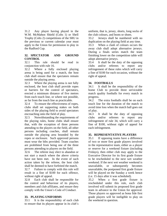31.2 Any player having played in the W.M. McMahon Shield (Colts 1) or Shell Trophy (Colts 2) competitions of the SRU in the previous or current calendar year must apply to the Union for permission to play in the Radford Cup.

# **32. SPECTATOR AND GROUND CONTROL**

32.1 This rule should be read in conjunction with rule 16.

32.2 Where a fully enclosed playing arena is being used for a match, the host club shall ensure that the spectators remain outside the playing arena.

32.3 Where the playing arena is not fully enclosed, the host club shall provide ropes or barriers for the control of spectators, erected a minimum distance of five metres from each touch line, or where not possible, as far from the touch line as practicable.

32.4 To ensure the effectiveness of ropes, clubs shall set supporting stakes on both sides of the playing field to avoid spectators encroaching onto the field of play.

32.5 Notwithstanding the requirements of the playing rules, home clubs shall ensure that, with the exception of three persons attending to the players on the field, all other persons including coaches, shall remain outside the playing area bounded by the ropes or enclosure. Such approved persons must wear the bibs provided. Team coaches are prohibited from being one of the three persons attending to players on the field.

32.6 The referee may elect to abandon or not start a match where the above criteria have not been met. In the event of such action taken by the referee, the host club shall be deemed to have forfeited the match. 32.7 Failure to comply with this rule will

result in a fine of \$100 for each offence, without right of appeal.

32.8 Each club shall be responsible for the control and behaviour of its players, members and club affiliates, and ensure they comply with the Union's Code of Conduct.

# **33. PLAYING UNIFORMS**

33.1 It is the responsibility of each club to ensure that its players appear in its club's

uniform, that is, jersey, shorts, long socks of the club colours, and boots or shoes.

33.2 Jerseys shall be numbered with no duplication on the playing field at any time.

33.3 When a clash of colours occurs the away club shall adopt alternative jerseys. During a finals series match the team finishing lower on the competition table will adopt alternative jerseys.

33.4 It shall be the duty of the opposing clubs and/or referees to report any infringement of these rules which will carry a fine of \$100 for each occasion, without the right of appeal.

# **34. FOOTBALLS**

34.1 It shall be the responsibility of the home Club to provide three serviceable match quality footballs for every match in progress.

34.2 The extra footballs shall be on each touch line for the duration of the match to avoid time loss when the match ball goes out of play.

34.3 It shall be the duty of opposing clubs and/or referees to report any infringement of rule 34, which will carry a fine of \$100, without right of appeal for each infringement.

# **35. REPRESENTATIVE PLAYERS**

35.1 If opposing teams have a difference of two or more first grade players involved in the representative team, either as a player or reserve for a weekend fixture (including Fridays), then either club may apply to the Executive Director for its first grade fixture to be rescheduled to the next wet weather weekend. If the next wet weather weekend is unavailable, or subsequently becomes unavailable, the postponed first grade fixture will be played on the Sunday a week hence (i.e. 15 days after it was scheduled).

35.2 When a first grade fixture is rescheduled under this rule, each club involved will submit its proposed first grade team in advance to the Union for approval. Those players so approved as bona fide first grade players will be ineligible to play on the weekend in question.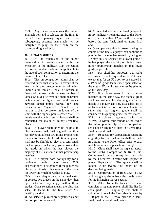35.3 Any player who makes themselves available for, and is selected in, the final 22 or 23 man playing squad and who subsequently becomes unavailable, will be ineligible to play for their club on the corresponding weekend.

# **36. FINALS SERIES**

36.1 At the conclusion of the minor premiership in each grade, with the exception of the Halligan Cup, the Union will run a suitable finals series applicable to the size of each competition to determine the premier of each Cup.

36.2 Ties on competition points shall be resolved in the first instance in favour of the team with the greater number of wins. Should a tie remain it shall be broken in favour of the team with the least number of losses. Should a tie remain it shall be broken in favour of the highest positive difference between actual points scored "for" and points scored "against". Should a tie remain, it shall be broken in favour of the team with the highest points scored "for". If the tie remains unbroken, a play-off shall be conducted for major or minor semi-final place.

36.3 A player shall only be eligible to play in a semi-final, final or grand final if he has played in at least two minor premiership rounds for his club. In addition, a player shall not be eligible to play in a semi-final, final or grand final in any grade lower than the grade in which he has played the majority of his last seven minor premiership matches.

36.4 If a player does not qualify for a particular grade under rule 36.3, dispensation will be granted if the player has played two thirds of his season in the grade (or lower) in which he wishes to play.

36.5 If a club qualifies for the final series in consecutive grades on the same day, then open selection may apply within those grades. Open selection means the club can select its teams for the final series "on merit" provided:

a) All selected players are registered as per the competition rules and;

b) All selected sides are declared (subject to injury, judiciary hearings, etc.) to the Union office, no later than 12pm on the Tuesday before the semi-final, final or grand final and;

c) Once open selection is broken during the course of the finals, a player can continue to play in the grade he last started in, or higher. He may only be selected for a lower grade if he has played the majority of his last seven minor premiership matches in that lower grade as per rule 36.3.

36.6 For eligibility purposes, U21 Colts is considered to be equivalent to  $3<sup>rd</sup>$  Grade, except that for an U21 colt to be selected in a 4<sup>th</sup> or 5<sup>th</sup> grade team under open selection the club's U21 colts team must be playing on the same day.

36.7 If a player starts in two or more matches in the same day, the highest grade shall be considered his playing grade for that match. If a player acts only as a substitute or replacement in two or more matches in the same day, the highest grade shall be considered his playing grade for that match. 36.8 A player registered with the NSWSRU within four rounds of the end of the minor premiership of that competition shall not be eligible to play in a semi-final, final or grand final.

36.9 Requests for dispensation regarding eligibility for the final series shall be made in writing to the Union office prior to each match for which dispensation is sought.

36.10 Clubs shall have the right to appeal to the Clubs, Competition & Rules Sub-Committee in regard to any decision made by the Executive Director with respect to player dispensation. The appeal shall be lodged within twenty four hours of the decision being made.

36.11 Contravention of rules 36.3 to 36.8 will bring expulsion from the finals series for the infringing player's team.

36.12 All clubs in the finals series shall complete a separate player eligibility list for each grade. All eligibility lists shall be submitted to reach the Executive Director by 12:00pm on the Tuesday prior to a semifinal, final or grand final match.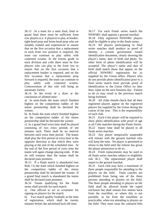36.13 In a team for a semi final, final or grand final there must be sufficient front row players (i.e. 6 players) to play at hooker, tight-head prop and loose-head prop who are suitably trained and experienced to ensure that on the first occasion that a replacement in each front row position is required, the team can continue to play safely with contested scrums. In the lowest grade in each division and colts there must be five players who can play in the front row to ensure that on the first occasion that a replacement hooker is required, and on the first occasion that a replacement prop forward is required, the team can continue to play safely with contested scrums. Contravention of this rule will bring an automatic forfeit.

36.14 In the event of a draw at the conclusion of allotted time:

a) In semi-finals the team which finished highest on the competition ladder of the minor premiership shall be declared the winner.

b) In finals the team which finished highest on the competition ladder of the minor premiership shall be declared the winner.

c) In a grand final extra time shall be played consisting of two extra periods of ten minutes each. There shall be no interval between each extra time period. The teams shall play the first period of extra time in the opposite direction to that which they were playing at the end of the scheduled time. At the end of the first period of extra time the teams will again change playing ends. If the tie still remains then the teams shall be declared joint premiers.

36.15 If a finals match is abandoned (see Rule 11) the team which finished highest on the competition ladder of the minor premiership shall be declared the winner. If a grand final match is abandoned the teams shall be declared joint premiers.

36.16 Teams qualifying for the finals series shall provide for each match:

a) One official to act as scrutineer for signing-on players for the match.

b) Two match quality footballs at the time of registration, which shall be twenty minutes before the advertised kick-off time.

36.17 For each Finals series match the NSWSRU shall appoint a ground marshal.

36.18 Only registered NSWSRU players shall be eligible to play in the finals series. 36.19 All players participating in final series matches shall produce as proof of identity a current government issued identification document, clearly showing the player's name, date of birth and photo. No other form of photo identification will be accepted. The player's name and date of birth shall match those that appear on the official NSWSRU registration list as supplied by the Union office. Players who do not provide photo identification prior to a final series match must provide proof of identification to the Union Office no later than 12pm on the next business day. Failure to do so may result in the previous match being forfeited.

36.20 All clubs should check that all their registered players appear on the registered players list supplied by the Union during the course of the year. This is the responsibility of each club.

36.21 Each Colts player will be required to show photo identification with proof of age at all Colts matches during the Finals Series. 36.22 Injury time shall be played in all finals series matches.

36.23 Any player temporarily suspended will remain with the ground marshal who will keep the time. No player is permitted to return to the field until the referee has given the player permission to do so.

36.24 Fresh replacements may be used in all finals series matches subject to eligibility rule 36.3. The replacement player shall report to the ground marshal.

36.25 Each club may have a maximum of three people responsible for attending to the players on the field. Team coaches are prohibited from being one of the three persons attending to players on the field. The three people attending to players on the field shall be allowed inside the roped enclosure but shall remain five metres back from the touchline, or where this is not possible, as far from the touchline as practicable, when not attending to players on the field. They must wear the coloured bibs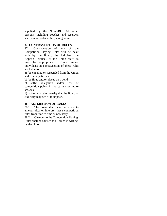supplied by the NSWSRU. All other persons, including coaches and reserves, shall remain outside the playing arena.

# **37. CONTRAVENTION OF RULES**

37.1 Contravention of any of the Competition Playing Rules will be dealt with by the Board, the Judiciary, the Appeals Tribunal, or the Union Staff, as may be appropriate. Clubs and/or individuals in contravention of these rules are liable to:

a) be expelled or suspended from the Union and its competitions

b) be fined and/or placed on a bond

c) suffer relegation and/or loss of competition points in the current or future seasons

d) suffer any other penalty that the Board or Judiciary may see fit to impose.

# **38. ALTERATION OF RULES**

38.1 The Board shall have the power to amend, alter or interpret these competition rules from time to time as necessary.

38.2 Changes to the Competition Playing Rules shall be advised to all clubs in writing by the Union.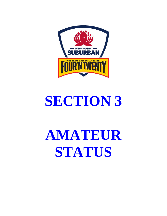

# **SECTION 3**

# **AMATEUR STATUS**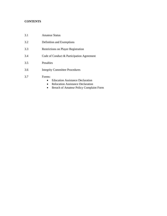# **CONTENTS**

- 3.1 Amateur Status
- 3.2 Definition and Exemptions
- 3.3 Restrictions on Player Registration
- 3.4 Code of Conduct & Participation Agreement
- 3.5 Penalties
- 3.6 Integrity Committee Procedures
- 3.7 Forms:
	- Education Assistance Declaration
	- Relocation Assistance Declaration
	- Breach of Amateur Policy Complaint Form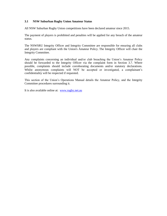# **3.1 NSW Suburban Rugby Union Amateur Status**

All NSW Suburban Rugby Union competitions have been declared amateur since 2015.

The payment of players is prohibited and penalties will be applied for any breach of the amateur status.

The NSWSRU Integrity Officer and Integrity Committee are responsible for ensuring all clubs and players are compliant with the Union's Amateur Policy. The Integrity Officer will chair the Integrity Committee.

Any complaints concerning an individual and/or club breaching the Union's Amateur Policy should be forwarded to the Integrity Officer via the complaint form in Section 3.7. Where possible, complaints should include corroborating documents and/or statutory declarations. Whilst anonymous complaints will NOT be accepted or investigated, a complainant's confidentiality will be respected if requested.

This section of the Union's Operations Manual details the Amateur Policy, and the Integrity Committee procedures surrounding it.

It is also available online at: [www.rugby.net.au](http://www.rugby.net.au/)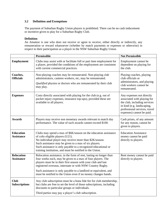# **3.2 Definition and Exemptions**

The payment of Suburban Rugby Union players is prohibited. There can be no cash inducement or incentive given to play for a Suburban Rugby Club.

# **Definition**

An Amateur is one who does not receive or agree to receive, either directly or indirectly, any remuneration or reward whatsoever (whether by match payments or expenses or otherwise) in respect to their participation as a player in the NSW Suburban Rugby Union.

|                                        | <b>Permissible</b>                                                                                                                                                                                                                                                                                                                                                                                    | <b>Not Permissible</b>                                                                                                                                                               |
|----------------------------------------|-------------------------------------------------------------------------------------------------------------------------------------------------------------------------------------------------------------------------------------------------------------------------------------------------------------------------------------------------------------------------------------------------------|--------------------------------------------------------------------------------------------------------------------------------------------------------------------------------------|
| <b>Employment</b>                      | Clubs may assist with or facilitate full or part time employment for<br>a player, provided the conditions of the employment are consistent<br>with current commercial practices.                                                                                                                                                                                                                      | Employment cannot be<br>dependent on playing for<br>the club.                                                                                                                        |
| Coaches,<br><b>Officials</b>           | Non-playing coaches may be remunerated. Non-playing club<br>administrators, canteen workers, etc, may be remunerated.<br>Qualified physios or doctors who are remunerated by their club<br>may play.                                                                                                                                                                                                  | Playing coaches, playing<br>club officials or<br>administrators, and playing<br>club workers cannot be<br>remunerated.                                                               |
| <b>Expenses</b>                        | Costs directly associated with playing for the club (e.g. out of<br>pocket injury expenses, insurance top-ups), provided these are<br>available to all players.                                                                                                                                                                                                                                       | Any expenses not directly<br>associated with playing for<br>the club, including services<br>in kind (e.g. landscaping,<br>professional services, travel<br>expenses) cannot be paid. |
| <b>Awards</b>                          | Players may receive non monetary awards relevant to match day<br>performance. The value of such awards cannot exceed \$100.                                                                                                                                                                                                                                                                           | Cash prizes, of any amount<br>for any reason, cannot be<br>given to players.                                                                                                         |
| <b>Education</b><br><b>Assistance</b>  | Clubs may spend a max of \$6K/season on the education assistance<br>of colts eligible players (U21).<br>No individual player may receive more than \$2K/season.<br>Such assistance may be given to a max of six players.<br>Such assistance is only payable to a recognized educational or<br>training institution, and must be notified to the Union.                                                | <b>Education Assistance</b><br>money cannot be paid<br>directly to players.                                                                                                          |
| <b>Relocation</b><br><b>Assistance</b> | Relocation assistance, in the form of rent, lasting no longer than<br>four weeks each, may be given to a max of four players. The<br>players must be in their first season with your club and last<br>registered overseas, interstate or with NSW Country Rugby.<br>Such assistance is only payable to a landlord or equivalent, and<br>must be notified to the Union even if no money changes hands. | Rent money cannot be paid<br>directly to players.                                                                                                                                    |
| <b>Club</b><br><b>Subscriptions</b>    | Any club subscription must be a bona fide fee for club membership,<br>but clubs are free to set the level of those subscriptions, including<br>discounts to particular groups or individuals.<br>Third parties may pay a player's club subscription.                                                                                                                                                  |                                                                                                                                                                                      |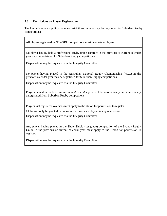# **3.3 Restrictions on Player Registration**

The Union's amateur policy includes restrictions on who may be registered for Suburban Rugby competitions:

All players registered in NSWSRU competitions must be amateur players.

No player having held a professional rugby union contract in the previous or current calendar year may be registered for Suburban Rugby competitions.

Dispensation may be requested via the Integrity Committee.

No player having played in the Australian National Rugby Championship (NRC) in the previous calendar year may be registered for Suburban Rugby competitions.

Dispensation may be requested via the Integrity Committee.

Players named in the NRC *in the current calendar year* will be automatically and immediately deregistered from Suburban Rugby competitions.

Players *last* registered overseas must apply to the Union for permission to register.

Clubs will only be granted permission for three such players in any one season.

Dispensation may be requested via the Integrity Committee.

Any player having played in the Shute Shield (1st grade) competition of the Sydney Rugby Union in the previous or current calendar year must apply to the Union for permission to register.

Dispensation may be requested via the Integrity Committee.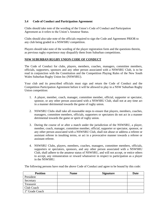# **3.4 Code of Conduct and Participation Agreement**

Clubs should take note of the wording of the Union's Code of Conduct and Participation Agreement as it refers to the Union's Amateur Status.

Clubs should also take note of the officials required to sign the Code and Agreement PRIOR to any club being graded in a NSWSRU competition.

Players should take note of the wording of the player registration form and the questions therein, as previous rugby experience may disqualify them from Suburban competitions.

# **NSW SUBURBAN RUGBY UNION CODE OF CONDUCT**

The Code of Conduct for clubs, players, members, coaches, managers, committee members, officials, supporters, sponsors and any other person associated with a NSWSRU Club, is to be read in conjunction with the Constitution and the Competition Playing Rules of the New South Wales Suburban Rugby Union Inc (NSWSRU).

Your club and its prescribed officials must sign and return the Code of Conduct and the Competition Participation Agreement before it will be allowed to play in a NSW Suburban Rugby Union competition:

- 1. A player, member, coach, manager, committee member, official, supporter or spectator, sponsor, or any other person associated with a NSWSRU Club, shall not at any time act in a manner detrimental towards the game of rugby union.
- 2. NSWSRU Clubs shall take all reasonable steps to ensure that players, members, coaches, managers, committee members, officials, supporters or spectators do not act in a manner detrimental towards the game or spirit of rugby union.
- 3. During the course of or after a match under the jurisdiction of the NSWSRU, a player, member, coach, manager, committee member, official, supporter or spectator, sponsor, or any other person associated with a NSWSRU Club, shall not abuse or address a referee or assistant referee in insulting terms, or act in a provocative manner towards a referee or assistant referee.
- 4. NSWSRU Clubs, players, members, coaches, managers, committee members, officials, supporters or spectators, sponsors, and any other person associated with a NSWSRU Club, shall adhere to the amateur status of NSWSRU, and will not accept, or entice others to accept, any remuneration or reward whatsoever in respect to participation as a player in the NSWSRU.

The following persons have read the above Code of Conduct and agree to be bound by this code:

| <b>Position</b>             | <b>Name</b> | <b>Signature</b> | Date |
|-----------------------------|-------------|------------------|------|
| President                   |             |                  |      |
| Secretary                   |             |                  |      |
| Treasurer                   |             |                  |      |
| Club Coach                  |             |                  |      |
| 1 <sup>st</sup> Grade Coach |             |                  |      |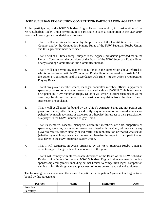# **NSW SUBURBAN RUGBY UNION COMPETITION PARTICIPATION AGREEMENT**

A club participating in the NSW Suburban Rugby Union competition, in consideration of the NSW Suburban Rugby Union permitting it to participate in such a competition in the year 2019, hereby acknowledges and undertakes as follows:

- 1. That it will at all times be bound by the provisions of the Constitution, the Code of Conduct and by the Competition Playing Rules of the NSW Suburban Rugby Union, and this agreement made hereunder.
- 2. That it will at all times accept, subject to the Appeals provisions provided for in the Union's Constitution, the decisions of the Board of the NSW Suburban Rugby Union or any standing Committee or Sub-Committee thereof.
- 3. That it will not permit any player to play for it in the competition above referred to who is not registered with NSW Suburban Rugby Union as referred to in Article 14 of the Union's Constitution and in accordance with Rule 4 of the Union's Competition Playing Rules.
- 4. That if any player, member, coach, manager, committee member, official, supporter or spectator, sponsor, or any other person associated with a NSWSRU Club, is suspended or expelled by NSW Suburban Rugby Union it will cease to utilize such person as the case may be during the period of suspension or expulsion from the date of such suspension or expulsion.
- 5. That it will at all times be bound by the Union's Amateur Status and not permit any player to receive, either directly or indirectly, any remuneration or reward whatsoever (whether by match payments or expenses or otherwise) in respect to their participation as a player in the NSW Suburban Rugby Union.
- 6. That its members, coaches, managers, committee members, officials, supporters or spectators, sponsors, or any other person associated with the Club, will not entice any player to receive, either directly or indirectly, any remuneration or reward whatsoever (whether by match payments or expenses or otherwise) in respect to their participation as a player in the NSW Suburban Rugby Union.
- 7. That it will participate in events organised by the NSW Suburban Rugby Union in order to support the growth and development of the game.
- 8. That it will comply with all reasonable directions of the Board of the NSW Suburban Rugby Union in relation to any NSW Suburban Rugby Union commercial and/or sponsorship arrangements including but not limited to competition logos, competition naming rights, field signage, and placement of logos on team apparel and equipment.

The following persons have read the above Competition Participation Agreement and agree to be bound by this agreement:

| <b>Position</b> | <b>Name</b> | <b>Signature</b> | <b>Date</b> |
|-----------------|-------------|------------------|-------------|
| President       |             |                  |             |
| Secretary       |             |                  |             |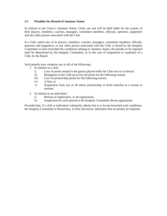# **3.5 Penalties for Breach of Amateur Status**

In relation to the Union's Amateur Status, Clubs can and will be held liable for the actions of their players, members, coaches, managers, committee members, officials, sponsors, supporters and any other person associated with the Club.

If a Club, and/or any of its players, members, coaches, managers, committee members, officials, sponsors and supporters, or any other person associated with the Club, is found by the Integrity Committee to have breached the conditions relating to Amateur Status, the penalty to be imposed shall be determined by the Integrity Committee, or in the case of suspension or expulsion of a Club, by the Board.

Such penalty may comprise any or all of the following:-

- 1. In relation to a club
	- i) Loss of points earned in the games played while the Club was so in breach;
	- ii) Relegation of the Club up to two divisions for the following season;
	- iii) Loss of premiership points for the following season;
	- iv) A fine; or
	- v) Suspension from any or all minor premiership or finals matches in a season or seasons.
- 2. In relation to an individual
	- i) Refusal of registration, or de-registration;
	- ii) Suspension for such period as the Integrity Committee deems appropriate.

Provided that, if a club or individual voluntarily admits that it or he has breached such conditions, the Integrity Committee or Board may, in their discretion, determine that no penalty be imposed.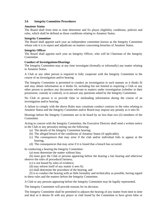# **3.6 Integrity Committee Procedures**

#### **Amateur Status**

The Board shall from time to time determine and fix player eligibility conditions, policies and rules, which shall be defined as those conditions relating to Amateur Status.

#### **Integrity Committee**

The Board shall appoint each year an independent committee known as the Integrity Committee whose role it is to report and adjudicate on matters concerning breaches of Amateur Status.

### **Integrity Officer**

The Board shall appoint each year an Integrity Officer, who will be Chairman of the Integrity Committee.

### **Conduct of Investigations/Hearings**

The Integrity Committee may at any time investigate (formally or informally) any matter relating to Amateur Status.

A Club or any other person is required to fully cooperate with the Integrity Committee in the course of an investigation and/or hearing.

The Integrity Committee is permitted to conduct an investigation in such manner as it thinks fit and may obtain information as it thinks fit, including but not limited to requiring a Club or any other person to produce any documents relevant to matters under investigation (whether in their possession, custody or control), or to answer any questions asked by the Integrity Committee.

No Club or person is to provide false or misleading information during the course of an investigation and/or hearing.

A failure to comply with the above Rules may constitute conduct contrary to the rules relating to Amateur Status and the Integrity Committee and/or Board may impose any penalty as it sees fit.

Hearings before the Integrity Committee are to be heard by no less than two (2) members of the Committee.

Acting in concert with the Integrity Committee, the Executive Director shall send a written notice to the Club or any person(s) setting out the following:

- (a) The details of the Integrity Committee hearing;
- (b) The alleged breach of the conditions of Amateur Status (if applicable);
- (c) The consequences that may arise if the club and/or individual fails to appear at the hearing;
- (d) The consequences that may arise if it is found that a breach has occurred.

In conducting a hearing the Integrity Committee:

(a) must determine the matter without bias;

(b) must give the Club or persons appearing before the hearing a fair hearing and otherwise observe the rules of procedural fairness;

(c) is not bound by rules of evidence;

(d) may inform itself of any matter it sees fit;

(e) shall determine the procedure of the hearing; and

(f) is to conduct the hearing with as little formality and technicality as possible, having regard to these rules and the matters before the Integrity Committee.

A Club or any persons appearing before the Integrity Committee may be legally represented.

The Integrity Committee will provide reasons for its decision.

The Integrity Committee shall be permitted to adjourn the hearing of any matter from time to time and deal as it deems fit with any player or club found by the Committee to have given false or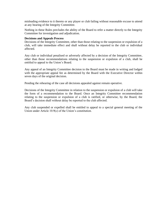misleading evidence to it thereto or any player or club failing without reasonable excuse to attend at any hearing of the Integrity Committee.

Nothing in these Rules precludes the ability of the Board to refer a matter directly to the Integrity Committee for investigation and adjudication.

#### **Decisions and Appeals Process**

Decisions of the Integrity Committee, other than those relating to the suspension or expulsion of a club, will take immediate effect and shall without delay be reported to the club or individual affected.

Any club or individual penalised or adversely affected by a decision of the Integrity Committee, other than those recommendations relating to the suspension or expulsion of a club, shall be entitled to appeal to the Union's Board.

Any appeal of an Integrity Committee decision to the Board must be made in writing and lodged with the appropriate appeal fee as determined by the Board with the Executive Director within seven days of the original decision.

Pending the rehearing of the case all decisions appealed against remain operative.

Decisions of the Integrity Committee in relation to the suspension or expulsion of a club will take the form of a recommendation to the Board. Once an Integrity Committee recommendation relating to the suspension or expulsion of a club is ratified, or otherwise, by the Board, the Board's decision shall without delay be reported to the club affected.

Any club suspended or expelled shall be entitled to appeal to a special general meeting of the Union under Article 10.9(c) of the Union's constitution.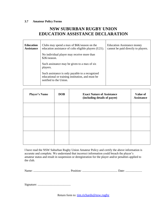# **3.7 Amateur Policy Forms**

# **NSW SUBURBAN RUGBY UNION EDUCATION ASSISTANCE DECLARATION**

| <b>Education</b><br><b>Assistance</b> | Clubs may spend a max of \$6K/season on the<br>education assistance of colts eligible players (U21).                          | <b>Education Assistance money</b><br>cannot be paid directly to players. |
|---------------------------------------|-------------------------------------------------------------------------------------------------------------------------------|--------------------------------------------------------------------------|
|                                       | No individual player may receive more than<br>\$2K/season.                                                                    |                                                                          |
|                                       | Such assistance may be given to a max of six<br>players.                                                                      |                                                                          |
|                                       | Such assistance is only payable to a recognized<br>educational or training institution, and must be<br>notified to the Union. |                                                                          |

| <b>Player's Name</b> | <b>DOB</b> | <b>Exact Nature of Assistance</b><br>(including details of payee) | <b>Value of</b><br><b>Assistance</b> |
|----------------------|------------|-------------------------------------------------------------------|--------------------------------------|
|                      |            |                                                                   |                                      |
|                      |            |                                                                   |                                      |
|                      |            |                                                                   |                                      |

I have read the NSW Suburban Rugby Union Amateur Policy and certify the above information is accurate and complete. We understand that incorrect information could breach the player's amateur status and result in suspension or deregistration for the player and/or penalties applied to the club.

Name: ................................................. Position: ............................................... Date: ......................

Signature: ............................................

Return form to: [tim.richards@nsw.rugby](mailto:tim.richards@nsw.rugby)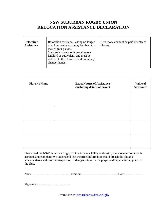# **NSW SUBURBAN RUGBY UNION RELOCATION ASSISTANCE DECLARATION**

| Relocation assistance lasting no longer<br><b>Relocation</b><br>than four weeks each may be given to a<br><b>Assistance</b><br>max of four players.<br>Such assistance is only payable to a<br>landlord or equivalent, and must be<br>notified to the Union even if no money<br>changes hands. | Rent money cannot be paid directly to<br>players. |
|------------------------------------------------------------------------------------------------------------------------------------------------------------------------------------------------------------------------------------------------------------------------------------------------|---------------------------------------------------|
|------------------------------------------------------------------------------------------------------------------------------------------------------------------------------------------------------------------------------------------------------------------------------------------------|---------------------------------------------------|

| <b>Player's Name</b> | <b>Exact Nature of Assistance</b><br>(including details of payee) | Value of<br><b>Assistance</b> |
|----------------------|-------------------------------------------------------------------|-------------------------------|
|                      |                                                                   |                               |
|                      |                                                                   |                               |
|                      |                                                                   |                               |
|                      |                                                                   |                               |

I have read the NSW Suburban Rugby Union Amateur Policy and certify the above information is accurate and complete. We understand that incorrect information could breach the player's amateur status and result in suspension or deregistration for the player and/or penalties applied to the club.

Name: ................................................. Position: ............................................... Date: ......................

Signature: ............................................

Return form to: [tim.richards@nsw.rugby](mailto:tim.richards@nsw.rugby)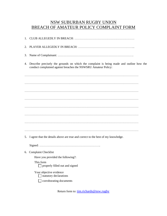# NSW SUBURBAN RUGBY UNION BREACH OF AMATEUR POLICY COMPLAINT FORM

1. CLUB ALLEGEDLY IN BREACH: …………………………………………………… 2. PLAYER ALLEGEDLY IN BREACH: ………………………………………………... 3. Name of Complainant: …………………………………………………………………. 4. Describe precisely the grounds on which the complaint is being made and outline how the conduct complained against breaches the NSWSRU Amateur Policy: …………………………………………………………………………………………………… …………………………………………………………………………………………………… …………………………………………………………………………………………………… …………………………………………………………………………………………………… …………………………………………………………………………………………………… …………………………………………………………………………………………………… …………………………………………………………………………………………………… …………………………………………………………………………………………………… 5. I agree that the details above are true and correct to the best of my knowledge. Signed: ……………………………………………………. 6. Complaint Checklist Have you provided the following?: This form  $\Box$  properly filled out and signed Your objective evidence  $\Box$  statutory declarations corroborating documents

Return form to: [tim.richards@nsw.rugby](mailto:tim.richards@nsw.rugby)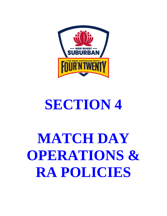# LE GREAT AUSTRALIAN TASTE-H

# **SECTION 4**

# **MATCH DAY OPERATIONS & RA POLICIES**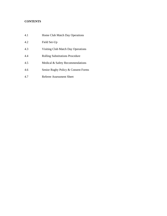# **CONTENTS**

| 4.1 | Home Club Match Day Operations         |
|-----|----------------------------------------|
| 4.2 | Field Set-Up                           |
| 4.3 | Visiting Club Match Day Operations     |
| 4.4 | <b>Rolling Substitutions Procedure</b> |
| 4.5 | Medical & Safety Recommendations       |
| 4.6 | Senior Rugby Policy & Consent Forms    |
| 4.7 | Referee Assessment Sheet               |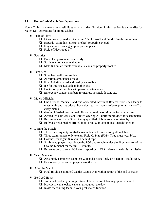#### **4.1 Home Club Match Day Operations**

Home Clubs have many responsibilities on match day. Provided in this section is a checklist for Match Day Operations for Home Clubs:

- Field of Play:
	- $\Box$  Lines properly marked, including 10m kick-off and 5m & 15m throw-in lines
	- ❑ Hazards (sprinklers, cricket pitches) properly covered
	- ❑ Flags, corner posts, goal post pads in place
	- ❑ Field of Play roped off
- Facilities:
	- $\Box$  Both change-rooms clean & tidy
	- ❑ Sufficient hot water available
	- ❑ Male & Female toilets available, clean and properly stocked
- First Aid:
	- ❑ Stretcher readily accessible
	- ❑ Ascertain ambulance access
	- ❑ First Aid kit stocked and readily accessible
	- $\Box$  Ice for injuries available to both clubs
	- ❑ Doctor or qualified first-aid person in attendance
	- □ Emergency contact numbers for nearest hospital, doctor, etc.
- Match Officials:
	- ❑ One Ground Marshall and one accredited Assistant Referee from each team to meet with and introduce themselves to the match referee prior to kick-off of every match.
	- ❑ Ground Marshal wearing red bib and accessible on sideline for all matches
	- ❑ Accredited club Assistant Referee wearing AR uniform provided for each match
	- $\Box$  Recommended that a SmartRugby qualified club referee be on standby
	- $\Box$  Referees welcomed & offered food, drink & invited to post-match function
- During the Match:
	- $\Box$  Three match-quality footballs available at all times during all matches
	- $\Box$  Three team runners only to enter Field Of Play (FOP). They must wear bibs.
	- ❑ Coaches, managers & reserves behind rope
	- ❑ Sin-binned players must leave the FOP and remain under the direct control of the Ground Marshal for the full 10 minutes
	- $\Box$  Reserves only to enter FOP after reporting to TJ & referee signals his permission
- Team Manager:
	- $\Box$  Accurately completes team lists & match scores (incl. sin bins) on Results App.
	- $\Box$  Ensures only registered players take the field
- After the Match:

❑ Final result is submitted via the Results App within 30min of the end of match

- Be Good Hosts:
	- ❑ You must contact your opposition club in the week leading up to the match
	- ❑ Provide a well stocked canteen throughout the day
	- $\Box$  Invite the visiting team to your post-match function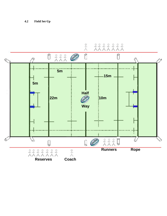# **4.2 Field Set-Up**

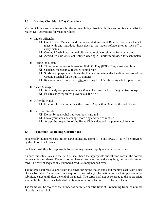#### **4.3 Visiting Club Match Day Operations**

Visiting Clubs also have responsibilities on match day. Provided in this section is a checklist for Match Day Operations for Visiting Clubs:

- Match Officials:
	- ❑ One Ground Marshall and one accredited Assistant Referee from each team to meet with and introduce themselves to the match referee prior to kick-off of every match.
	- ❑ Ground Marshal wearing red bib and accessible on sideline for all matches
	- ❑ Accredited club Assistant Referee wearing AR uniform provided for each match
- During the Match:
	- ❑ Three team runners only to enter Field Of Play (FOP). They must wear bibs.
	- ❑ Coaches, managers & reserves behind rope
	- ❑ Sin-binned players must leave the FOP and remain under the direct control of the Ground Marshal for the full 10 minutes
	- $\Box$  Reserves only to enter FOP after reporting to TJ & referee signals his permission
- Team Manager:
	- $\Box$  Accurately completes team lists & match scores (incl. sin bins) on Results App.
	- ❑ Ensures only registered players take the field
- After the Match:
	- $\Box$  Final result is submitted via the Results App within 30min of the end of match
- Be Good Guests:
	- ❑ Do not bring alcohol into your host's ground
	- ❑ Leave your area and change-room tidy and free of rubbish
	- ❑ Accept the hospitality of the Home Club and attend the post-match function

#### **4.4 Procedure For Rolling Substitutions**

Sequentially numbered substitution cards indicating Home 1 - 8 and Away 1 - 8 will be provided by the Union to all teams.

Each team will then be responsible for providing its own supply of cards for each match.

As each substitute takes to the field he shall hand the appropriate substitution card in the correct sequence to the referee. There is no requirement to record or write anything on the substitution card. The correct sequentially numbered card is simply handed over.

The referee shall receive and retain the cards during the match and shall monitor each team's use of its substitutes. The referee is not required to record any information but shall simply retain the submitted cards until after the end of the match. The cards shall not be returned to the appropriate team until the referee is satisfied of the final number of substitutes used by each team.

The teams will be aware of the number of permitted substitutions still remaining from the number of cards they still hold.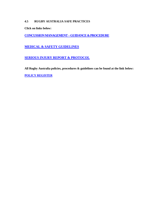### **4.5 RUGBY AUSTRALIA SAFE PRACTICES**

**Click on links below:**

**[CONCUSSIONMANAGEMENT–GUIDANCE&PROCEDURE](https://d26phqdbpt0w91.cloudfront.net/NonVideo/1ec5a184-03eb-4dc2-83d7-1b44e698cb6f.pdf)**

# **MEDICAL & SAFETY [GUIDELINES](https://australia.rugby/about/codes-and-policies/safety-and-welfare/first-aid-and-medical)**

# **SERIOUS INJURY REPORT & [PROTOCOL](https://australia.rugby/about/codes-and-policies/safety-and-welfare/serious-injuries)**

**All Rugby Australia policies, procedures & guidelines can be found at the link below:**

**[POLICY REGISTER](https://australia.rugby/about/codes-and-policies/all-codes-and-policies)**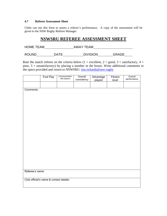#### **4.7 Referee Assessment Sheet**

Clubs can use this form to assess a referee's performance. A copy of the assessment will be given to the NSW Rugby Referee Manager.

# **NSWSRU REFEREE ASSESSMENT SHEET**

| <b>HOME TEAM</b> |      | AWAY TEAM       |              |
|------------------|------|-----------------|--------------|
| <b>ROUND</b>     | DATF | <b>DIVISION</b> | <b>GRADE</b> |

Rate the match referee on the criteria below (1 = excellent, 2 = good, 3 = satisfactory, 4 = poor, 5 = unsatisfactory) by placing a number in the boxes. Write additional comments in the space provided and return to NSWSRU: [tim.richards@nsw.rugby](mailto:tim.richards@nsw.rugby)

|                 | Foul Play                               | Communication<br>with players | Overall<br>consistency | Advantage<br>played | Fitness<br>level | Overall<br>performance |
|-----------------|-----------------------------------------|-------------------------------|------------------------|---------------------|------------------|------------------------|
|                 |                                         |                               |                        |                     |                  |                        |
| Comments:       |                                         |                               |                        |                     |                  |                        |
|                 |                                         |                               |                        |                     |                  |                        |
|                 |                                         |                               |                        |                     |                  |                        |
|                 |                                         |                               |                        |                     |                  |                        |
|                 |                                         |                               |                        |                     |                  |                        |
|                 |                                         |                               |                        |                     |                  |                        |
|                 |                                         |                               |                        |                     |                  |                        |
|                 |                                         |                               |                        |                     |                  |                        |
|                 |                                         |                               |                        |                     |                  |                        |
|                 |                                         |                               |                        |                     |                  |                        |
|                 |                                         |                               |                        |                     |                  |                        |
|                 |                                         |                               |                        |                     |                  |                        |
|                 |                                         |                               |                        |                     |                  |                        |
| Referee's name: |                                         |                               |                        |                     |                  |                        |
|                 | Club official's name & contact details: |                               |                        |                     |                  |                        |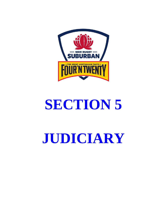

# **SECTION 5**

# **JUDICIARY**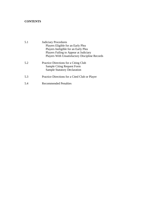# **CONTENTS**

| 5.1 | <b>Judiciary Procedures</b>                           |
|-----|-------------------------------------------------------|
|     | Players Eligible for an Early Plea                    |
|     | Players Ineligible for an Early Plea                  |
|     | Players Failing to Appear at Judiciary                |
|     | <b>Players With Unsatisfactory Discipline Records</b> |
| 5.2 | Practice Directions for a Citing Club                 |
|     | <b>Sample Citing Request Form</b>                     |
|     | <b>Sample Statutory Declaration</b>                   |
| 5.3 | Practice Directions for a Cited Club or Player        |
| 5.4 | Recommended Penalties                                 |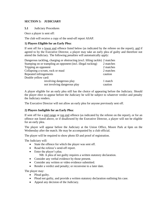#### **SECTION 5: JUDICIARY**

**5.1** Judiciary Procedures

Once a player is sent off:

The club will receive a copy of the send-off report ASAP.

#### **1) Players Eligible for an Early Plea:**

If sent off for a lower end offence listed below (as indicated by the referee on the report), and if agreed to by the Executive Director, a player may take an early plea of guilty and therefore not attend the Judiciary. The following penalties will automatically apply:

| Dangerous tackling, charging or obstructing (excl. lifting tackle) 2 matches |           |
|------------------------------------------------------------------------------|-----------|
| Stamping on or trampling an opponent (incl. illegal rucking)                 | 2 matches |
| Tripping an opponent                                                         | 2 matches |
| Collapsing a scrum, ruck or maul                                             | 2 matches |
| Repeated infringements                                                       | caution   |
| Double yellow card:                                                          |           |
| involving dangerous play                                                     | 1 match   |
| not involving dangerous play                                                 | caution   |

A player eligible for an early plea still has the choice of appearing before the Judiciary. Should the player elect to appear before the Judiciary he will be subject to whatever verdict and penalty the Judiciary renders.

The Executive Director will not allow an early plea for anyone previously sent off.

#### **2) Players Ineligible for an Early Plea:**

If sent off for a mid range or top end offence (as indicated by the referee on the report), or for an offence not listed above, or if disallowed by the Executive Director, a player will not be eligible for an early plea.

The player will appear before the Judiciary at the Union Office, Moore Park at 6pm on the Wednesday after the match. He may be accompanied by a club official.

The player will be required to show photo ID and proof of registration.

The Judiciary will:

- State the offence for which the player was sent off.
- Read the referee's send-off report.
- Enter the player's plea.
	- NB: A plea of not guilty requires a written statutory declaration.
- Consider any verbal evidence by those present.
- Consider any written or video evidence submitted.
- Render a verdict and penalty; or reconvene to a later date.

The player may:

- Plead guilty.
- Plead not guilty, and provide a written statutory declaration outlining his case.
- Appeal any decision of the Judiciary.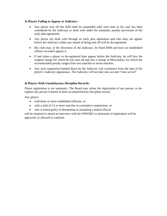#### **3) Players Failing to Appear at Judiciary:**

- Any player sent off the field shall be suspended until such time as his case has been considered by the Judiciary or dealt with under the automatic penalty provisions of the early plea agreement.
- Any player not dealt with through an early plea agreement and who does not appear before the Judiciary within one month of being sent off will be de-registered.
- His club may, at the discretion of the Judiciary, be fined \$500 and have an established offence recorded against it.
- If and when a player so de-registered does appear before the Judiciary, he will face the original charge for which he was sent off and also a charge of Misconduct, for which the recommended penalty ranges from two matches to seven matches.
- Any such suspension handed down by the Judiciary will commence from the date of the player's Judiciary appearance. The Judiciary will not take into account "time served".

### **4) Players With Unsatisfactory Discipline Records:**

Player registration is not automatic. The Board may refuse the registration of any person, or deregister any person it deems to have an unsatisfactory discipline record.

Any player:

- with three or more established offences, or
- with a total of 12 or more matches in cumulative suspensions, or
- who is found guilty of threatening or assaulting a match official

will be required to attend an interview with the NSWSRU to determine if registration will be approved, or allowed to continue.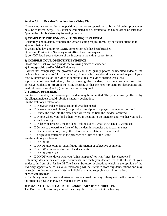#### **Section 5.2 Practice Directions for a Citing Club**

If your club wishes to cite an opposition player or an opposition club the following procedures must be followed. Steps  $1 \& 2$  must be completed and submitted to the Union office no later than 5pm on the third business day following the match.

### **1) COMPLETE THE UNION'S CITING REQUEST FORM**

Accurately, and in detail, complete the Union's citing request form. Pay particular attention to: a) who is being cited,

- b) what rugby law and/or NSWSRU competition rule has been breached
- c) the club President or Secretary must affirm the citing request.
- d) do NOT detail your evidence of the incident in the citing request form.

#### **2) COMPILE YOUR OBJECTIVE EVIDENCE**

Please ensure that you can provide the following pieces of evidence:

# **a) Photographic and/or Video Evidence**

- whilst not compulsory, the provision of clear, high quality photos or unedited video of the incident is extremely useful to the Judiciary. If available, they should be submitted as part of your case. Submission via on-line video is admissible. (e.g. via video sharing websites.)

- provision of unedited video, clearly showing the incident, may be considered sufficient objective evidence to progress the citing request, so that the need for statutory declarations and medical records in (b) and (c) below may not be required.

#### **b) Statutory Declarations**

- up to four statutory declarations per incident may be submitted. The person directly affected by the alleged incident should submit a statutory declaration.

- in the statutory declarations

- DO give an independent account of what happened
- DO name the cited player (or a physical description, or player's number or position)
- DO note the time into the match and where on the field the incident occurred
- DO note where you (and others) were in relation to the incident and whether you had a clear line of sight
- DO describe precisely the incident telling exactly what YOU actually witnessed
- DO stick to the pertinent facts of the incident in a concise and factual manner
- DO note what action, if any, the referee took in relation to the incident
- Do sign your statement in the presence of a Justice of the Peace.

- in the statutory declarations

- DO NOT lie
- DO NOT give opinion, superfluous information or subjective comments
- DO NOT write second or third hand accounts
- DO NOT embellish
- DO NOT write down what you "think happened" or what "must have happened"

- statutory declarations are legal documents in which you declare the truthfulness of your evidence in front of a Justice Of The Peace. Statutory declarations which in the opinion of the Judiciary appear to be collusive or misleading will be excluded from any deliberations and may be subject to further action against the individual or club supplying such information.

#### **c) Medical Records**

- if an injury requiring medical attention has occurred then any subsequent medical report from the attending physician may be tendered as evidence.

### **3) PRESENT THE CITING TO THE JUDICIARY IF SO DIRECTED**

The Executive Director may compel the citing club to be present at the hearing.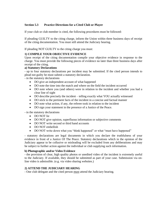#### **Section 5.3 Practice Directions for a Cited Club or Player**

If your club or club member is cited, the following procedures must be followed:

If pleading GUILTY to the citing charge, inform the Union within three business days of receipt of the citing documentation. You must still attend the Judiciary hearing.

If pleading NOT GUILTY to the citing charge you must:

#### **1) COMPILE YOUR OBJECTIVE EVIDENCE**

Upon receipt of the citing documentation compile your objective evidence in response to the charge. You must provide the following pieces of evidence no later than three business days after receipt of the citing.

#### **a) Statutory Declarations**

- up to four statutory declarations per incident may be submitted. If the cited person intends to plead not guilty he must submit a statutory declaration.

- in the statutory declarations

- DO give an independent account of what happened
- DO note the time into the match and where on the field the incident occurred
- DO note where you (and others) were in relation to the incident and whether you had a clear line of sight
- DO describe precisely the incident telling exactly what YOU actually witnessed
- DO stick to the pertinent facts of the incident in a concise and factual manner
- DO note what action, if any, the referee took in relation to the incident
- DO sign your statement in the presence of a Justice of the Peace.

- in the statutory declarations

- DO NOT lie
- DO NOT give opinion, superfluous information or subjective comments
- DO NOT write second or third hand accounts
- DO NOT embellish
- DO NOT write down what you "think happened" or what "must have happened"

- statutory declarations are legal documents in which you declare the truthfulness of your evidence in front of a Justice Of The Peace. Statutory declarations which in the opinion of the Judiciary appear to be collusive or misleading will be excluded from any deliberations and may be subject to further action against the individual or club supplying such information.

#### **b) Photographic and/or Video Evidence**

- the provision of clear, high quality photos or unedited video of the incident is extremely useful to the Judiciary. If available, they should be submitted as part of your case. Submission via online video is admissible. (e.g. via video sharing websites.)

#### **2) ATTEND THE JUDICIARY HEARING**

- One club delegate and the cited person must attend the Judiciary hearing.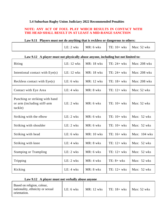# **5.4 Suburban Rugby Union Judiciary 2022 Recommended Penalties**

# **NOTE: ANY ACT OF FOUL PLAY WHICH RESULTS IN CONTACT WITH THE HEAD SHALL RESULT IN AT LEAST A MID-RANGE SANCTION**

| Law 9.11 Players must not do anything that is reckless or dangerous to others: |             |                       |                                         |  |
|--------------------------------------------------------------------------------|-------------|-----------------------|-----------------------------------------|--|
|                                                                                | $LE: 2$ wks | $M\mathbb{R}$ : 6 wks | $\vert$ TE: 10+ wks $\vert$ Max: 52 wks |  |

#### **Law 9.12 A player must not physically abuse anyone, including but not limited to:**

| <b>Biting</b>                                                            | LE: $12$ wks | <b>MR</b> : 18 wks | TE: $24 + wks$ | Max: 208 wks  |
|--------------------------------------------------------------------------|--------------|--------------------|----------------|---------------|
| Intentional contact with $Eye(s)$                                        | LE: $12$ wks | <b>MR</b> : 18 wks | TE: $24 + wks$ | Max: 208 wks  |
| Reckless contact with $Eye(s)$                                           | $LE: 6$ wks  | MR: 12 wks         | TE: $18 + wks$ | Max: 208 wks  |
| Contact with Eye Area                                                    | $LE: 4$ wks  | $MR: 8$ wks        | TE: $12+$ wks  | Max: $52$ wks |
| Punching or striking with hand<br>or arm (including stiff-arm<br>tackle) | $LE: 2$ wks  | $MR: 6$ wks        | TE: $10+$ wks  | Max: 52 wks   |
| Striking with the elbow                                                  | $LE: 2$ wks  | $MR: 6$ wks        | TE: $10+$ wks  | Max: $52$ wks |
| Striking with shoulder                                                   | $LE: 2$ wks  | $MR: 6$ wks        | TE: $10+$ wks  | Max: $52$ wks |
| Striking with head                                                       | LE: $6$ wks  | <b>MR</b> : 10 wks | TE: 16+ wks    | Max: 104 wks  |
| Striking with knee                                                       | $LE: 4$ wks  | $MR: 8$ wks        | TE: $12+$ wks  | Max: 52 wks   |
| <b>Stamping or Trampling</b>                                             | $LE: 2$ wks  | $MR: 6$ wks        | TE: $12+$ wks  | Max: 52 wks   |
| Tripping                                                                 | $LE: 2$ wks  | $MR: 4$ wks        | $TE: 8+$ wks   | Max: $52$ wks |
| Kicking                                                                  | $LE: 4$ wks  | $MR: 8$ wks        | TE: $12+$ wks  | Max: 52 wks   |

# **Law 9.12 A player must not verbally abuse anyone**

| Based on religion, colour,<br>nationality, ethnicity or sexual<br>orientation. | LE: 6 wks | MR: 12 wks | $TE: 18+$ wks | Max: $52$ wks |
|--------------------------------------------------------------------------------|-----------|------------|---------------|---------------|
|                                                                                |           |            |               |               |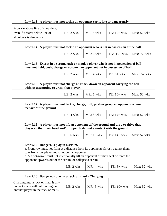# **Law 9.13 A player must not tackle an opponent early, late or dangerously.**

| A tackle above line of shoulders,<br>even if it starts below line of | LE: $2 \text{ wks}$ | $MR: 6$ wks | $\vert$ TE: 10+ wks | Max: $52$ wks |
|----------------------------------------------------------------------|---------------------|-------------|---------------------|---------------|
| shoulders is dangerous                                               |                     |             |                     |               |

# **Law 9.14 A player must not tackle an opponent who is not in possession of the ball.**

# **Law 9.15 Except in a scrum, ruck or maul, a player who is not in possession of ball must not hold, push, charge or obstruct an opponent not in possession of ball.**

|  | ∟E:<br>wks | $MR: 4$ wks | $TE: 6+$ wks | Max:<br>wks |
|--|------------|-------------|--------------|-------------|
|--|------------|-------------|--------------|-------------|

**Law 9.16 A player must not charge or knock down an opponent carrying the ball without attempting to grasp that player.**

| $Max: 52$ wks<br>$M\mathbb{R}$ : 6 wks<br>$TE: 10+$ wks<br>$LE: 2$ wks |
|------------------------------------------------------------------------|
|------------------------------------------------------------------------|

**Law 9.17 A player must not tackle, charge, pull, push or grasp an opponent whose feet are off the ground.**

|  |  | LE: $4 \text{ wks}$   MR: $8 \text{ wks}$   TE: $12 + \text{wks}$   Max: $52 \text{ wks}$ |  |  |
|--|--|-------------------------------------------------------------------------------------------|--|--|
|--|--|-------------------------------------------------------------------------------------------|--|--|

**Law 9.18 A player must not lift an opponent off the ground and drop or drive that player so that their head and/or upper body make contact with the ground.**

| $LE: 6$ wks<br>$Max: 52$ wks<br>$\sim$ TE: 14+ wks<br>$1$ MR: 10 wks |
|----------------------------------------------------------------------|
|----------------------------------------------------------------------|

# **Law 9.19 Dangerous play in a scrum.**

a. Front row must not form at a distance from its opponents & rush against them.

b. A front-row player must not pull an opponent.

c. A front-rower must not intentionally lift an opponent off their feet or force the

opponent upwards out of the scrum, or collapse a scrum.

|--|

# **Law 9.20 Dangerous play in a ruck or maul - Charging**

| Charging into a ruck or maul is any<br>contact made without binding onto<br>another player in the ruck or maul. | $LE: 2$ wks | $MR: 6$ wks | TE: $10+$ wks | Max: $52$ wks |
|-----------------------------------------------------------------------------------------------------------------|-------------|-------------|---------------|---------------|
|-----------------------------------------------------------------------------------------------------------------|-------------|-------------|---------------|---------------|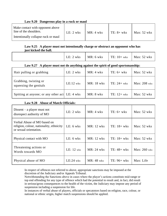| Make contact with opponent above<br>line of the shoulders.<br>Intentionally collapse ruck or maul | LE: $2$ wks | $MR: 4$ wks | TE: $8+$ wks | Max: $52$ wks |
|---------------------------------------------------------------------------------------------------|-------------|-------------|--------------|---------------|

# **Law 9.20 Dangerous play in a ruck or maul**

## **Law 9.25 A player must not intentionally charge or obstruct an opponent who has just kicked the ball.**

| $\vert$ TE: 10+ wks<br>Max: $52$ wks<br>MR: 6 wks<br>$LE: 2$ wks |
|------------------------------------------------------------------|
|------------------------------------------------------------------|

# **Law 9.27 A player must not do anything against the spirit of good sportsmanship:**

| Hair pulling or grabbing                        | $LE: 2$ wks | $MR: 4$ wks | $TE: 6+$ wks   | Max: $52$ wks |
|-------------------------------------------------|-------------|-------------|----------------|---------------|
| Grabbing, twisting or<br>squeezing the genitals | $LE:12$ wks | MR: 18 wks  | $TE: 24 + wks$ | Max: 208 wks  |
| Spitting at anyone; or any other act LE: 4 wks  |             | $MR: 8$ wks | TE: $12+$ wks  | Max: $52$ wks |

# **Law 9.28 Abuse of Match Officials:**

| Dissent – a player must not<br>disrespect authority of MO                                         | $LE: 2$ wks  | $MR: 4$ wks        | $TE: 6+$ wks  | Max: $52$ wks |
|---------------------------------------------------------------------------------------------------|--------------|--------------------|---------------|---------------|
| Verbal Abuse of MO based on<br>religion, colour, nationality, ethnicity<br>or sexual orientation. | $LE: 6$ wks  | $MR: 12$ wks       | $TE: 18+$ wks | Max: $52$ wks |
| Physical contact with MO                                                                          | $LE: 6$ wks  | <b>MR</b> : 12 wks | TE: $18+$ wks | Max: $52$ wks |
| Threatening actions or<br>Words towards MO                                                        | LE: $12$ wks | $MR: 24$ wks       | TE: $48+$ wks | Max: 260 wks  |
| Physical abuse of MO                                                                              | $LE:24$ wks  | $MR: 48$ wks       | $TE: 96+$ wks | Max: Life     |

In respect of offences not referred to above, appropriate sanctions may be imposed at the discretion of the Judiciary and/or Appeals Tribunal.

Notwithstanding the Sanctions above in cases where the player's actions constitute mid-range or top end offending for any type of offence which had the potential to result and, in fact, did result in serious/gross consequences to the health of the victim, the Judiciary may impose any period of suspension including a suspension for life.

In instances of verbal abuse of players, officials or specatotors based on religion, race, colour, or national or ethnic origin, higher match suspensions should be applied.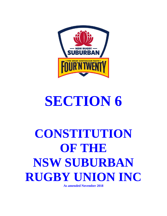

# **SECTION 6**

# **CONSTITUTION OF THE NSW SUBURBAN RUGBY UNION INC**

**As amended November 2018**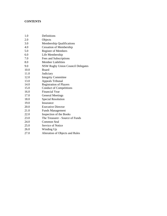# **CONTENTS**

| 1.0  | Definitions                              |
|------|------------------------------------------|
| 2.0  | Objects                                  |
| 3.0  | <b>Membership Qualifications</b>         |
| 4.0  | <b>Cessation of Membership</b>           |
| 5.0  | <b>Register of Members</b>               |
| 6.0  | Life Membership                          |
| 7.0  | Fees and Subscriptions                   |
| 8.0  | <b>Member Liabilities</b>                |
| 9.0  | <b>NSW Rugby Union Council Delegates</b> |
| 10.0 | Board                                    |
| 11.0 | Judiciary                                |
| 12.0 | <b>Integrity Committee</b>               |
| 13.0 | <b>Appeals Tribunal</b>                  |
| 14.0 | <b>Registration of Players</b>           |
| 15.0 | <b>Conduct of Competitions</b>           |
| 16.0 | <b>Financial Year</b>                    |
| 17.0 | <b>General Meetings</b>                  |
| 18.0 | <b>Special Resolution</b>                |
| 19.0 | Insurance                                |
| 20.0 | <b>Executive Director</b>                |
| 21.0 | <b>Funds Management</b>                  |
| 22.0 | Inspection of the Books                  |
| 23.0 | The Treasurer - Source of Funds          |
| 24.0 | Common Seal                              |
| 25.0 | <b>Service of Notice</b>                 |
| 26.0 | Winding Up                               |
| 27.0 | Alteration of Objects and Rules          |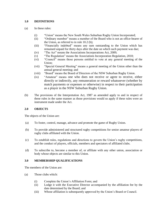#### **1.0 DEFINITIONS**

- (a) In these rules:
	- (i) "Union" means the New South Wales Suburban Rugby Union Incorporated;
	- (ii) "Ordinary member" means a member of the Board who is not an office-bearer of the Union, as referred to in rule 10.2 (b);
	- (iii) "Financially indebted" means any sum outstanding to the Union which has remained unpaid for thirty days after the date on which such payment was due;
	- (iv) "The Act" means the Associations Incorporations Act, 2009;
	- (v) "The Regulation" means the Associations Incorporation Regulation, 2010;
	- (vi) "Council" means those persons entitled to vote at any general meeting of the Union;
	- (vii) "Special General Meeting" means a general meeting of the Union other than the annual general meeting; and
	- (viii) "Board" means the Board of Directors of the NSW Suburban Rugby Union.
	- (ix) "Amateur" means one who does not receive or agree to receive, either directly or indirectly, any remuneration or reward whatsoever (whether by match payments or expenses or otherwise) in respect to their participation as a player in the NSW Suburban Rugby Union.
- (b) The provisions of the Interpretation Act, 1987 as amended apply to and in respect of these rules in the same manner as those provisions would so apply if these rules were an instrument made under the Act.

#### **2.0 OBJECTS**

The objects of the Union are:

- (a) To foster, control, manage, advance and promote the game of Rugby Union.
- (b) To provide administered and structured rugby competitions for senior amateur players of rugby clubs affiliated with the Union.
- (c) To establish rules, regulations and directions to govern the Union's rugby competitions, and the conduct of players, officials, members and spectators of affiliated clubs.
- (d) To subscribe to, become a member of, or affiliate with any other union, association or body whose objects are similar to this Union.

#### **3.0 MEMBERSHIP QUALIFICATIONS**

The members of the Union are:

- (a) Those clubs which:
	- (i) Complete the Union's Affiliation Form; and
	- (ii) Lodge it with the Executive Director accompanied by the affiliation fee by the date determined by the Board; and
	- (iii) Whose affiliation is subsequently approved by the Union's Board or Council.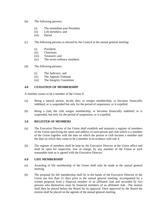- (b) The following persons:
	- (i) The immediate past President
	- (ii) Life members; and
	- (iii) Patron
- (c) The following persons as elected by the Council at the annual general meeting:
	- (i) President;
	- (ii) Chairman;
	- (iii) Treasurer; and
	- (iv) The seven ordinary members.
- (d) The following persons:
	- (i) The Judiciary; and
	- (ii) The Appeals Tribunal.
	- (iii) The Integrity Committee

#### **4.0 CESSATION OF MEMBERSHIP**

A member ceases to be a member of the Union if:

- (a) Being a natural person, he/she dies; or resigns membership; or becomes financially indebted; or is suspended but only for the period of suspension; or is expelled.
- (b) Being a club, the club resigns membership; or becomes financially indebted; or is suspended, but only for the period of suspension; or is expelled.

#### **5.0 REGISTER OF MEMBERS**

- (a) The Executive Director of the Union shall establish and maintain a register of members of the Union specifying the name and address of each person and club which is a member of the Union together with the date on which the person or club became a member and the date on which they cease to be a member in accordance with rule 4.
- (b) The register of members shall be kept by the Executive Director at the Union office and shall be open for inspection, free of charge, by any member of the Union at such reasonable time as is agreed with the Executive Director.

#### **6.0 LIFE MEMBERSHIP**

- (a) Awarding of life membership of the Union shall only be made at the annual general meeting.
- (b) The proposal for life membership shall be in the hands of the Executive Director of the Union not less than 21 days prior to the annual general meeting, accompanied by a written proposal from a financial member of an affiliated club and seconded by two persons who themselves must be financial members of an affiliated club. The motion shall then be placed before the Board for its approval. Once approved by the Board the motion shall be placed on the agenda of the annual general meeting.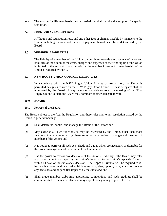(c) The motion for life membership to be carried out shall require the support of a special resolution.

#### **7.0 FEES AND SUBSCRIPTIONS**

Affiliation and registration fees, and any other fees or charges payable by members to the Union, including the time and manner of payment thereof, shall be as determined by the Board.

#### **8.0 MEMBER LIABILITIES**

The liability of a member of the Union to contribute towards the payment of debts and liabilities of the Union or the costs, charges and expenses of the winding up of the Union is limited to the amount, if any, unpaid by the member in respect of membership of the Union as required by rule 7.

#### **9.0 NSW RUGBY UNION COUNCIL DELEGATES**

In accordance with the NSW Rugby Union Articles of Association, the Union is permitted delegates to vote on the NSW Rugby Union Council. These delegates shall be nominated by the Board. If any delegate is unable to vote at a meeting of the NSW Rugby Union Council, the Board may nominate another delegate to vote.

#### **10.0 BOARD**

#### **10.1 Powers of the Board**

The Board subject to the Act, the Regulation and these rules and to any resolution passed by the Union in general meeting:

- (a) Shall determine, control and manage the affairs of the Union; and
- (b) May exercise all such functions as may be exercised by the Union, other than those functions that are required by these rules to be exercised by a general meeting of members of the Union; and
- (c) Has power to perform all such acts, deeds and duties which are necessary or desirable for the proper management of the affairs of the Union; and
- (d) Has the power to review any decisions of the Union's Judiciary. The Board may refer any matter adjudicated upon by the Union's Judiciary to the Union's Appeals Tribunal within 14 days of the Judiciary's decision. The Appeals Tribunal will be required to rehear such a matter within a further 14 days and may alter, uphold, vary, amend or reverse any decisions and/or penalties imposed by the Judiciary; and
- (e) Shall grade member clubs into appropriate competitions and such gradings shall be communicated to member clubs, who may appeal their grading as per Rule 17.2.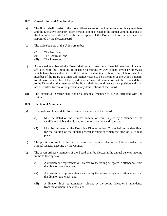#### **10.2 Constitution and Membership**

- (a) The Board shall consist of the three office-bearers of the Union seven ordinary members and the Executive Director. Each person is to be elected at the annual general meeting of the Union as per rule 17.1, with the exception of the Executive Director who shall be appointed by the elected Board.
- (b) The office bearers of the Union are to be:
	- (i) The President;
	- (ii) The Chairman; and
	- (iii) The Treasurer.
- (c) An elected member of the Board shall at all times be a financial member of a club affiliated with the Union and must have no monies by way of loan, credit or otherwise which have been called in by the Union, outstanding. Should the club of which a member of the Board is a financial member cease to be a member of the Union pursuant to rule 4 or the member of the Board is not a financial member of that club or is indebted to the Union then that member of the Board shall forthwith vacate their position and shall not be entitled to vote or be present at any deliberations of the Board.
- (d) The Executive Director shall not be a financial member of a club affiliated with the Union.

#### **10.3 Election of Members**

- (a) Nominations of candidates for election as members of the Board:
	- (i) Must be stated on the Union's nomination form, signed by a member of the candidate's club and endorsed on the form by the candidate; and
	- (ii) Must be delivered to the Executive Director at least 7 days before the date fixed for the holding of the annual general meeting at which the election is to take place.
- (b) The position of such of the Office Bearers as requires election will be elected at the Annual General Meeting by the Council.
- (c) The seven ordinary members of the Board shall be elected at the annual general meeting in the following way:
	- (i) A division one representative elected by the voting delegates in attendance from the division one clubs; and
	- (ii) A division two representative elected by the voting delegates in attendance from the division two clubs; and
	- (iii) A division three representative elected by the voting delegates in attendance from the division three clubs; and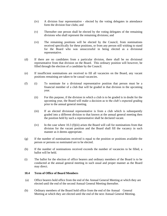- (iv) A division four representative elected by the voting delegates in attendance form the division four clubs; and
- (v) Thereafter one person shall be elected by the voting delegates of the remaining divisions who shall represent the remaining divisions; and
- (vi) The remaining positions will be elected by the Council, from nominations received specifically for these positions, or from any person still wishing to stand for the Board who was unsuccessful in being elected as a divisional representative.
- (d) If there are no candidates from a particular division, there shall be no divisional representative from that division on the Board. This ordinary position will however, be filled through the election of a candidate by the Council.
- (e) If insufficient nominations are received to fill all vacancies on the Board, any vacant positions remaining are taken to be casual vacancies.
- (f) (i) To nominate for a divisional representative position that person must be a financial member of a club that will be graded in that division in the upcoming year.
	- (ii) For this purpose, if the division in which a club is to be graded is in doubt for the upcoming year, the Board will make a decision as to the club's expected grading prior to the annual general meeting.
	- (iii) If an elected divisional representative is from a club which is subsequently graded into a different division to that known at the annual general meeting then the position held by such a representative shall be declared vacant.
	- $(iv)$  In the case where 10.3 (f)(iii) arises the Board will call for nominations from that division for the vacant position and the Board shall fill the vacancy in such manner as it deems appropriate.
- (g) If the number of nominations received is equal to the position or positions available the person or persons so nominated are to be elected.
- (h) If the number of nominations received exceeds the number of vacancies to be filled, a ballot will be held.
- (i) The ballot for the election of office bearers and ordinary members of the Board is to be conducted at the annual general meeting in such usual and proper manner as the Board may direct.

#### **10.4 Term of Office of Board Members**

- (a) Office bearers hold office from the end of the Annual General Meeting at which they are elected until the end of the second Annual General Meeting thereafter.
- (b) Ordinary members of the Board hold office from the end of the Annual General Meeting at which they are elected until the end of the next Annual General Meeting.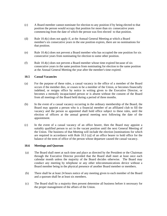- (c) A Board member cannot nominate for election to any position if by being elected to that position the person would occupy that position for more than six consecutive years commencing from the date of which the person was first elected to that position.
- (d) Rule 10.4(c) does not apply if, at the Annual General Meeting at which a Board member's six consecutive years in the one position expires, there are no nominations for that position.
- (e) Rule 10.4(c) does not prevent a Board member who has occupied the one position for six consecutive years from nominating for election to some other position.
- (f) Rule 10.4(c) does not prevent a Board member whose time expired because of six consecutive years in the same position from nominating for election to the same position at the Annual General Meeting the year after the member's time expired.

#### **10.5 Casual Vacancies**

- (a) For the purpose of these rules, a casual vacancy in the office of a member of the Board occurs if the member dies, or ceases to be a member of the Union, or becomes financially indebted, or resigns office by notice in writing given to the Executive Director, or becomes a mentally incapacitated person or is absent without the consent of the Board from all meetings of the Board held during a period of three months.
- (b) In the event of a casual vacancy occurring in the ordinary membership of the Board, the Board may appoint a person who is a financial member of an affiliated club to fill the vacancy and the person so appointed shall hold office subject to these rules, until the election of officers at the annual general meeting next following the date of the appointment.
- (c) In the event of a casual vacancy of an office bearer, then the Board may appoint a suitably qualified person to act in the vacant position until the next General Meeting of the Union. The business of that Meeting will include the election [nominations for which are required in accordance with Rule 10.3 (a)] of an office bearer to hold office for the balance of the term of office of the person whose departure caused the casual vacancy.

#### **10.6 Meetings and Quorum**

- (a) The Board shall meet at such time and place as directed by the President or the Chairman through the Executive Director provided that the Board shall meet at least once each calendar month unless the majority of the Board decides otherwise. The Board may conduct any meeting by telephone or any other telecommunications device without a Board member being in the physical presence of another Board member or members.
- (b) There shall be at least 24 hours notice of any meeting given to each member of the Board and a quorum shall be at least six members.
- (c) The Board shall by a majority then present determine all business before it necessary for the proper management of the affairs of the Union.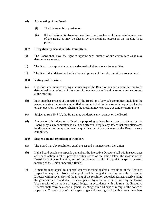- (d) At a meeting of the Board:
	- (i) The Chairman is to preside; or
	- (ii) If the Chairman is absent or unwilling to act, such one of the remaining members of the Board as may be chosen by the members present at the meeting is to preside.

#### **10.7 Delegation by Board to Sub-Committees.**

- (a) The Board shall have the right to appoint such number of sub-committees as it may determine necessary.
- (b) The Board may appoint any person deemed suitable onto a sub-committee.
- (c) The Board shall determine the function and powers of the sub-committees so appointed.

#### **10.8 Voting and Decisions**

- (a) Questions and motions arising at a meeting of the Board or any sub-committee are to be determined by a majority of the votes of members of the Board or sub-committee present at the meeting.
- (b) Each member present at a meeting of the Board or of any sub-committee, including the person chairing the meeting is entitled to one vote but, in the case of an equality of votes on any question, the person chairing the meeting may exercise a second or casting vote.
- (c) Subject to rule 10.5 (b), the Board may act despite any vacancy on the Board.
- (d) Any act or thing done or suffered, or purporting to have been done or suffered by the Board or by a sub-committee is valid and effectual despite any defect that may afterwards be discovered in the appointment or qualification of any member of the Board or subcommittee.

#### **10.9 Suspension and Expulsion of Members**

- (a) The Board may, by resolution, expel or suspend a member from the Union.
- (b) If the Board expels or suspends a member, the Executive Director shall within seven days after such action is taken, provide written notice of the action taken, the reasons of the Board for taking such action, and of the member's right of appeal to a special general meeting of the Union under rule 10.9(c).
- (c) A member may appeal to a special general meeting against a resolution of the Board to suspend or expel it. Notice of appeal shall be lodged in writing with the Executive Director within seven days of the giving of the resolution appealed against, clearly stating the grounds thereof and shall be accompanied by a fee to be determined by the Board. Upon receipt of the notice of appeal lodged in accordance with this rule, the Executive Director shall convene a special general meeting within 14 days of receipt of the notice of appeal and 7 days notice of such a special general meeting shall be given to all members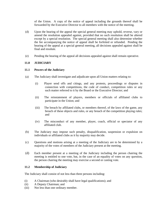of the Union. A copy of the notice of appeal including the grounds thereof shall be forwarded by the Executive Director to all members with the notice of the meeting.

- (d) Upon the hearing of the appeal the special general meeting may uphold, reverse, vary or amend the resolution appealed against, provided that no such resolution shall be altered except by a special resolution. The special general meeting shall also determine whether the fee accompanying the notice of appeal shall be forfeited or refunded. Pending the hearing of the appeal at a special general meeting, all decisions appealed against shall be final and resolute.
- (e) Pending the hearing of the appeal all decisions appealed against shall remain operative.

#### **11.0 JUDICIARY**

#### **11.1 Powers of the Judiciary**

- (a) The Judiciary shall investigate and adjudicate upon all Union matters relating to:
	- (i) Player send offs and citings, and any protests, proceedings or disputes in connection with competitions, the code of conduct, competition rules or any such matter referred to it by the Board or the Executive Director; and
	- (ii) The reinstatement of players, members or officials of affiliated clubs to participate in the Union; and
	- (iii) The breach by affiliated clubs, or members thereof, of the laws of the game, any breach of these objects and rules, or any breach of the competition playing rules; and
	- (iv) The misconduct of any member, player, coach, official or spectator of any affiliated club.
- (b) The Judiciary may impose such penalty, disqualification, suspension or expulsion on individuals or affiliated clubs as it by majority may decide.
- (c) Questions and motions arising at a meeting of the Judiciary are to be determined by a majority of the votes of members of the Judiciary present at the meeting.
- (d) Each member present at a meeting of the Judiciary including the person chairing the meeting is entitled to one vote, but, in the case of an equality of votes on any question, the person chairing the meeting may exercise a second or casting vote.

# **11.2 Membership of Judiciary**

The Judiciary shall consist of not less than three persons including:

- (i) A Chairman (who desirably shall have legal qualifications); and
- (ii) A Deputy Chairman; and
- (iii) Not less than one ordinary member.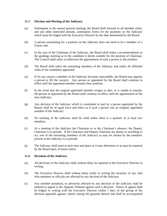#### **11.3 Election and Meeting of the Judiciary**

- (a) Subsequent to the annual general meeting, the Board shall forward to all member clubs, and any other interested persons, nomination forms for the positions on the Judiciary which must be lodged with the Executive Director by the date determined by the Board.
- (b) A person nominating for a position on the Judiciary does not need to be a member of a Union club.
- (c) In the case of the Chairman of the Judiciary, the Board shall make a recommendation to the gradings meeting as to the candidate it deems suitable for the position of Chairman. The Council shall ratify or otherwise the appointment of such a person to the position.
- (d) The Board shall select the remaining members of the Judiciary and notify all affiliated clubs of the candidates appointed.
- (e) If for any reason a member of the Judiciary becomes unavailable, the Board may appoint a person to fill the vacancy. Any person so appointed by the Board shall continue in office until the appointed member resumes their position.
- (f) In the event that the original appointed member resigns or dies, or is unable to resume, the person so appointed by the Board shall continue in office until the appointment of the next Judiciary.
- (g) Any decision of the Judiciary which is constituted in part by a person appointed by the Board, shall be of equal force and effect as if such a person was an original, appointed member of the Judiciary.
- (h) No meeting of the Judiciary shall be valid unless there is a quorum of at least two members.
- (i) At a meeting of the Judiciary the Chairman or in the Chairman's absence, the Deputy Chairman is to preside. If the Chairman and Deputy Chairman are absent or unwilling to act, one of the remaining members of the Judiciary as may be chosen by the members present at the Judiciary is to preside.
- (j) The Judiciary shall meet at such time and place as it may determine or as may be required by the Board upon 24 hours notice.

#### **11.4 Decisions of the Judiciary**

- (a) All decisions of the Judiciary shall without delay be reported to the Executive Director in writing.
- (b) The Executive Director shall without delay notify in writing the secretary of any club who members or officials are affected by any decision of the Judiciary.
- (c) Any member penalised, or adversely affected by any decision of the Judiciary shall be entitled to appeal to the Appeals Tribunal against such a decision. Notice of appeal shall be lodged in writing with the Executive Director within 7 days of the giving of the decision appealed against, clearly stating the grounds thereof and shall be accompanied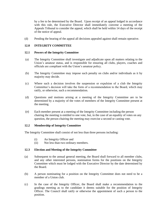by a fee to be determined by the Board. Upon receipt of an appeal lodged in accordance with this rule, the Executive Director shall immediately convene a meeting of the Appeals Tribunal to consider the appeal, which shall be held within 14 days of the receipt of the notice of appeal.

(d) Pending the hearing of the appeal all decisions appealed against shall remain operative.

#### **12.0 INTEGRITY COMMITTEE**

#### **12.1 Powers of the Integrity Committee**

- (a) The Integrity Committee shall investigate and adjudicate upon all matters relating to the Union's amateur status, and is responsible for ensuring all clubs, players, coaches and officials are compliant with the Union's amateur policy.
- (b) The Integrity Committee may impose such penalty on clubs and/or individuals as it by majority may decide.
- (c) Where such a decision involves the suspension or expulsion of a club the Integrity Committee's decision will take the form of a recommendation to the Board, which may ratify, or otherwise, such a recommendation.
- (d) Questions and motions arising at a meeting of the Integrity Committee are to be determined by a majority of the votes of members of the Integrity Committee present at the meeting.
- (e) Each member present at a meeting of the Integrity Committee including the person chairing the meeting is entitled to one vote, but, in the case of an equality of votes on any question, the person chairing the meeting may exercise a second or casting vote.

#### **12.2 Membership of Integrity Committee**

The Integrity Committee shall consist of not less than three persons including:

- (i) An Integrity Officer and
- (ii) Not less than two ordinary members.

#### **12.3 Election and Meeting of the Integrity Committee**

- (a) Subsequent to the annual general meeting, the Board shall forward to all member clubs, and any other interested persons, nomination forms for the positions on the Integrity Committee which must be lodged with the Executive Director by the date determined by the Board.
- (b) A person nominating for a position on the Integrity Committee does not need to be a member of a Union club.
- (c) In the case of the Integrity Officer, the Board shall make a recommendation to the gradings meeting as to the candidate it deems suitable for the position of Integrity Officer. The Council shall ratify or otherwise the appointment of such a person to the position.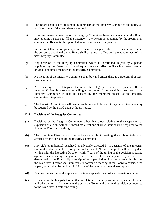- (d) The Board shall select the remaining members of the Integrity Committee and notify all affiliated clubs of the candidates appointed.
- (e) If for any reason a member of the Integrity Committee becomes unavailable, the Board may appoint a person to fill the vacancy. Any person so appointed by the Board shall continue in office until the appointed member resumes their position.
- (f) In the event that the original appointed member resigns or dies, or is unable to resume, the person so appointed by the Board shall continue in office until the appointment of the next Integrity Committee.
- (g) Any decision of the Integrity Committee which is constituted in part by a person appointed by the Board, shall be of equal force and effect as if such a person was an original, appointed member of the Integrity Committee.
- (h) No meeting of the Integrity Committee shall be valid unless there is a quorum of at least two members.
- (i) At a meeting of the Integrity Committee the Integrity Officer is to preside. If the Integrity Officer is absent or unwilling to act, one of the remaining members of the Integrity Committee as may be chosen by the members present at the Integrity Committee is to preside.
- (j) The Integrity Committee shall meet at such time and place as it may determine or as may be required by the Board upon 24 hours notice.

#### **12.4 Decisions of the Integrity Committee**

- (a) Decisions of the Integrity Committee, other than those relating to the suspension or expulsion of a club, will take immediate effect and shall without delay be reported to the Executive Director in writing.
- (b) The Executive Director shall without delay notify in writing the club or individual affected by any decision of the Integrity Committee.
- (c) Any club or individual penalized or adversely affected by a decision of the Integrity Committee shall be entitled to appeal to the Board. Notice of appeal shall be lodged in writing with the Executive Director within 7 days of the giving of the decision appealed against, clearly stating the grounds thereof and shall be accompanied by a fee to be determined by the Board. Upon receipt of an appeal lodged in accordance with this rule, the Executive Director shall immediately convene a meeting of the Board to consider the appeal, which shall be held within 14 days of the receipt of the notice of appeal.
- (d) Pending the hearing of the appeal all decisions appealed against shall remain operative.
- (e) Decisions of the Integrity Committee in relation to the suspension or expulsion of a club will take the form of a recommendation to the Board and shall without delay be reported to the Executive Director in writing.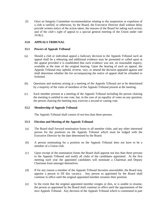(f) Once an Integrity Committee recommendation relating to the suspension or expulsion of a club is ratified, or otherwise, by the Board, the Executive Director shall without delay provide written notice of the action taken, the reasons of the Board for taking such action, and of the club's right of appeal to a special general meeting of the Union under rule  $10.9(c)$ .

#### **13.0 APPEALS TRIBUNAL**

#### **13.1 Powers of Appeals Tribunal**

- (a) Should a club or individual appeal a Judiciary decision to the Appeals Tribunal such an appeal shall be a rehearing and additional evidence may be presented or called upon at the appeal provided it is established that such evidence was not, on reasonable inquiry, available at the time of the original hearing. Upon the hearing of such an appeal, the Appeals Tribunal may uphold, reverse, vary, or amend the decision appealed against and shall determine whether the fee accompanying the notice of appeal shall be refunded or forfeited.
- (b) Questions and motions arising at a meeting of the Appeals Tribunal are to be determined by a majority of the votes of members of the Appeals Tribunal present at the meeting.
- (c) Each member present at a meeting of the Appeals Tribunal including the person chairing the meeting is entitled to one vote, but, in the case of an equality of votes on any question, the person chairing the meeting may exercise a second or casting vote.

#### **13.2 Membership of Appeals Tribunal**

The Appeals Tribunal shall consist of not less than three persons.

#### **13.3 Election and Meeting of the Appeals Tribunal**

- (a) The Board shall forward nomination forms to all member clubs, and any other interested person for the positions on the Appeals Tribunal which must be lodged with the Executive Director by the date determined by the Board.
- (b) A person nominating for a position on the Appeals Tribunal does not have to be a member of a Union club.
- (c) Upon receipt of the nomination forms the Board shall appoint not less than three persons to the Appeals Tribunal and notify all clubs of the candidates appointed. At the first meeting each year the appointed candidates will nominate a Chairman and Deputy Chairman from amongst themselves.
- (d) If for any reason a member of the Appeals Tribunal becomes unavailable, the Board may appoint a person to fill this vacancy. Any person so appointed by the Board shall continue in office until the original appointed member resumes their position.
- (e) In the event that the original appointed member resigns or dies, or is unable to resume, the person so appointed by the Board shall continue in office until the appointment of the next Appeals Tribunal. Any decision of the Appeals Tribunal which is constituted in part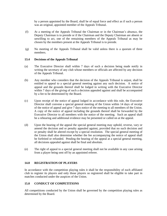by a person appointed by the Board, shall be of equal force and effect as if such a person was an original, appointed member of the Appeals Tribunal.

- (f) At a meeting of the Appeals Tribunal the Chairman or in the Chairman's absence, the Deputy Chairman is to preside or if the Chairman and the Deputy Chairman are absent or unwilling to act, one of the remaining members of the Appeals Tribunal as may be chosen by the members present at the Appeals Tribunal is to preside.
- (g) No meeting of the Appeals Tribunal shall be valid unless there is a quorum of three members.

#### **13.4 Decisions of the Appeals Tribunal**

- (a) The Executive Director shall within 7 days of such a decision being made notify in writing the secretary of any club whose members or officials are affected by any decision of the Appeals Tribunal.
- (b) Any member who considers that the decision of the Appeals Tribunal is unjust, shall be entitled to appeal to a special general meeting against any such decision. A notice of appeal and the grounds thereof shall be lodged in writing with the Executive Director within 7 days of the giving of such a decision appealed against and shall be accompanied by a fee to be determined by the Board.
- (c) Upon receipt of the notice of appeal lodged in accordance with this rule, the Executive Director shall convene a special general meeting of the Union within 14 days of receipt of the notice of appeal and give 7 days notice of the meeting to all members of the Union. A copy of the notice of appeal including the grounds thereof shall be forwarded by the Executive Director to all members with the notice of the meeting. Such an appeal shall be a rehearing and additional evidence may be presented or called on at the appeal.
- (d) Upon the hearing of the appeal the special general meeting may uphold, reverse, vary or amend the decision and or penalty appealed against, provided that no such decision and or penalty shall be altered except by a special resolution. The special general meeting of the Union shall also determine whether the fee accompanying the notice of appeal shall be forfeited or refunded. Pending the hearing of the appeal at a special general meeting, all decisions appealed against shall be final and absolute.
- (e) The right of appeal to a special general meeting shall not be available in any case arising from a player being sent off by an appointed referee.

#### **14.0 REGISTRATION OF PLAYERS**

In accordance with the competition playing rules it shall be the responsibility of each affiliated club to register its players and only those players so registered shall be eligible to take part in matches conducted under the auspices of the Union.

#### **15.0 CONDUCT OF COMPETITIONS**

All competitions conducted by the Union shall be governed by the competition playing rules as determined by the Board.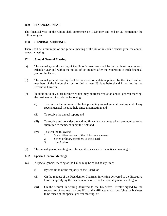#### **16.0 FINANCIAL YEAR**

The financial year of the Union shall commence on 1 October and end on 30 September the following year.

#### **17.0 GENERAL MEETINGS**

There shall be a minimum of one general meeting of the Union in each financial year, the annual general meeting.

#### **17.1 Annual General Meeting**

- (a) The annual general meeting of the Union's members shall be held at least once in each calendar year and within the period of six months after the expiration of each financial year of the Union.
- (b) The annual general meeting shall be convened on a date appointed by the Board and all members of the Union shall be notified at least 28 days beforehand in writing by the Executive Director.
- (c) In addition to any other business which may be transacted at an annual general meeting, the business will include the following:
	- (i) To confirm the minutes of the last preceding annual general meeting and of any special general meeting held since that meeting; and
	- (ii) To receive the annual report; and
	- (iii) To receive and consider the audited financial statements which are required to be submitted to members under the Act; and
	- (iv) To elect the following:
		- 1. Such office bearers of the Union as necessary
		- 2. Seven ordinary members of the Board
		- 3. The Auditor
- (d) The annual general meeting must be specified as such in the notice convening it.

#### **17.2 Special General Meetings**

- (a) A special general meeting of the Union may be called at any time:
	- (i) By resolution of the majority of the Board; or
	- (ii) On the request of the President or Chairman in writing delivered to the Executive Director specifying the business to be raised at the special general meeting; or
	- (iii) On the request in writing delivered to the Executive Director signed by the secretaries of not less than one fifth of the affiliated clubs specifying the business to be raised at the special general meeting; or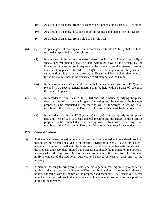- (iv) As a result of an appeal from a suspended or expelled club as per rule 10.9(c); or
- (v) As a result of an appeal of a decision of the Appeals Tribunal as per rule 12.4(b).
- (vi) As a result of an appeal from a club as per rule 10.1
- (b) (i) A special general meeting called in accordance with rule  $17.2(a)(i)$  shall be held on the date specified in the resolution.
	- (ii) In the case of the written requests referred to in rules  $17.2(a)(ii)$  and (iii), a special general meeting shall be held within 21 days of the receipt by the Executive Director of such requests, unless there is another general meeting already taking place within 14 to 35 days. If a special general meeting has been called within this time frame already, the Executive Director shall give notice of the additional business to be transacted to all members of the Union.
	- (iii) In the case of a special general meeting held in accordance with rule  $17.2(a)(iv)$ , (v) and (vi), a special general meeting shall be held within 14 days of receipt of the notice of appeal.
- (c) (i) In accordance with rules  $17.2(a)(i)$ , (ii) and (iii), a notice specifying the place, date and time of such a special general meeting and the nature of the business proposed to be conducted at the meeting will be forwarded in writing to all members of the Union by the Executive Director with at least 14 days notice.
	- (ii) In accordance with rule  $17.2(a)(iv)$ , (v) and (vi), a notice specifying the place, date and item of such a special general meeting and the nature of the business proposed to be conducted at the meeting will be forwarded in writing to all members of the Union by the Executive Director with at least 7 days notice.

#### **17.3 General Business**

- (a) At the annual general meeting general business will be received and considered provided that notice thereof must be given to the Executive Director at least 21 days prior to such a meeting. Such notice shall state the business to be released together with the names of the proposer and seconder. Should this business not already be included on the notice of meeting which the Executive Director has sent to the clubs, the Executive Director shall notify members of the additional business to be raised at least 14 days prior to the meeting.
- (b) A member desiring to bring any business before a general meeting must give notice in writing of that business to the Executive Director. Such notice shall state the business to be raised together with the names of the proposer and seconder. The Executive Director must include that business in the next notice calling a general meeting after receipt of the notice of the member.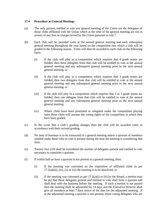#### **17.4 Procedure at General Meetings**

- (a) The only persons entitled to vote any general meeting of the Union are the delegates of those clubs affiliated with the Union which at the time of the general meeting are not in arrears of any fees or charges levied by the Union pursuant to rule 7.
- (b) Each club will be awarded votes at the annual general meeting and each subsequent general meeting throughout the year based on the competition into which a club will be graded in the following season. Votes will then be awarded to each club on the following basis:
	- (i) If the club will play in a competition which requires that 4 grade teams are fielded, then three delegates from that club will be entitled to vote at the annual general meeting and any subsequent general meeting prior to the next annual general meeting; or
	- (ii) If the club will play in a competition which requires that 3 grade teams are fielded, then two delegates from that club will be entitled to vote at the annual general meeting and any subsequent general meeting prior to the next annual general meeting; or
	- (iii) If the club will play in a competition which requires that 2 or 1 grade teams are fielded, then one delegate from that club will be entitled to vote at the annual general meeting and any subsequent general meeting prior to the next annual general meeting.
	- (iv) Where clubs have been promoted or relegated under the competition playing rules those clubs will assume the voting rights of the competition in which they have been graded.
- (c) In the event that a club's grading changes then the club will be awarded votes in accordance with their revised grading.
- (d) No item of business is to be transacted at a general meeting unless a quorum of members entitled under these rules to vote is present during the time the meeting is considering that item.
- (e) Twenty four (24) shall be considered the number of delegates present and entitled to vote necessary to constitute a quorum.
- (f) If within half an hour a quorum is not present at a general meeting, then:
	- (i) If the meeting was convened on the requisition of affiliated clubs as per  $17.2(a)(iii)$ ,  $(iv)$ ,  $(v)$  or  $(vi)$  the meeting is to be dissolved; or
	- (ii) If the meeting was convened as per  $17.2(a)(i)$  or (ii) by the Board, a motion may be put that those delegates present and entitled to vote shall form a quorum and shall deal with the business before the meeting. If such a motion is not passed then the meeting shall be adjourned for 14 days and the Executive Director shall give all members at least 7 days notice of the date for the adjourned meeting. If at the adjourned meeting a quorum is not present, those voting delegates who are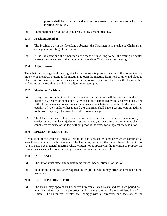present shall be a quorum and entitled to transact the business for which the meeting was called.

(g) There shall be no right of vote by proxy at any general meeting.

#### **17.5 Presiding Member**

- (a) The President, or in the President's absence, the Chairman is to preside as Chairman at each general meeting of the Union.
- (b) If the President and the Chairman are absent or unwilling to act, the voting delegates present must elect one of their number to preside as Chairman at the meeting.

#### **17.6 Adjournment**

The Chairman of a general meeting at which a quorum is present may, with the consent of the majority of members present at the meeting, adjourn the meeting from item to time and place to place, but no business is to be transacted at an adjourned meeting other than the business left unfinished at the meeting at which the adjournment took place.

#### **17.7 Making of Decisions**

- (a) Every question submitted to the delegates for decision shall be decided in the first instance by a show of hands or by way of ballot if demanded by the Chairman or by one fifth of the delegates present in such manner as the Chairman directs. In the case of an equality of votes under either method the Chairman shall have a casting vote in addition to the vote they may otherwise be entitled to as a delegate.
- (b) The Chairman may declare that a resolution has been carried or carried unanimously or carried by a particular majority or lost and an entry to that effect in the minutes shall be conclusive evidence of the fact without proof of the votes for or against the resolution.

#### **18.0 SPECIAL RESOLUTION**

A resolution of the Union is a special resolution if it is passed by a majority which comprises at least three quarters of such members of the Union as, being entitled under these rules so to do, vote in person at a general meeting where written notice specifying the intention to propose the resolution as a special resolution was given in accordance with these rules.

#### **19.0 INSURANCE**

- (a) The Union must effect and maintain insurance under section 44 of the Act.
- (b) In addition to the insurance required under (a), the Union may effect and maintain other insurance.

#### **20.0 EXECUTIVE DIRECTOR**

(a) The Board may appoint an Executive Director at such salary and for such period as it may determine to assist in the proper and efficient running of the administration of the Union. The Executive Director shall comply with all directives and decisions of the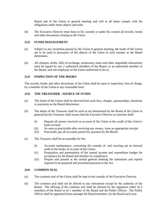Board and of the Union in general meeting and will at all times comply with his obligations under these objects and rules.

(b) The Executive Director must keep in his custody or under his control all records, books and other documents relating to the Union.

#### **21.0 FUNDS MANAGEMENT**

- (a) Subject to any resolution passed by the Union in general meeting, the funds of the Union are to be used in pursuance of the objects of the Union in such manner as the Board determines.
- (b) All cheques, drafts, bills of exchange, promissory notes and other negotiable instruments must be signed by any 2 authorised members of the Board, or an authorised member of the Board, and one employee of the Union authorised to do so.

#### **22.0 INSPECTION OF THE BOOKS**

The records, books and other documents of the Union shall be open to inspection, free of charge, by a member of the Union at any reasonable hour.

#### **23.0 THE TREASURER - SOURCE OF FUNDS**

- (a) The funds of the Union shall be derived from such fees, charges, sponsorships, donations or payments as the Board determines;
- (b) The duties of the Treasurer shall be such as are determined by the Board of the Union in general but the Treasurer shall ensure that the Executive Director or nominee shall:
	- (i) Deposit all money received on account of the Union to the credit of the Union's bank account;
	- (ii) As soon as practicable after receiving any money, issue an appropriate receipt;
	- (iii) Punctually pay all accounts passed for payment by the Board.
- (c) The Treasurer shall be accountable for the:
	- (i) Accurate maintenance, overseeing the custody of, and carrying out an internal audit of the books of account of the Union;
	- (ii) Preparation and presentation of the annual income and expenditure budget for acceptance by the Board and monitor its compliance;
	- (iii) Prepare and present at the annual general meeting the statements and reports required to be prepared and presented pursuant to the Act.

#### **24.0 COMMON SEAL**

- (a) The common seal of the Union shall be kept in the custody of the Executive Director.
- (b) The common seal shall not be affixed to any instrument except by the authority of the Board. The affixing of the common seal shall be attested by the signatures either of 2 members of the Board or of 1 member of the Board and the Public Officer. The Public Officer shall be appointed from amongst the Board members, by the Board each year.